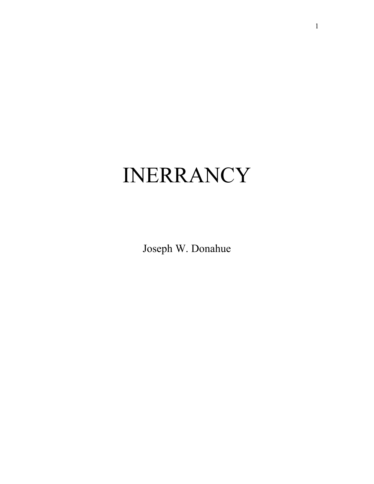# INERRANCY

Joseph W. Donahue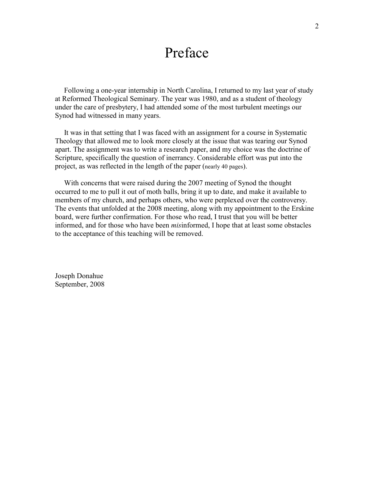# Preface

 Following a one-year internship in North Carolina, I returned to my last year of study at Reformed Theological Seminary. The year was 1980, and as a student of theology under the care of presbytery, I had attended some of the most turbulent meetings our Synod had witnessed in many years.

 It was in that setting that I was faced with an assignment for a course in Systematic Theology that allowed me to look more closely at the issue that was tearing our Synod apart. The assignment was to write a research paper, and my choice was the doctrine of Scripture, specifically the question of inerrancy. Considerable effort was put into the project, as was reflected in the length of the paper (nearly 40 pages).

 With concerns that were raised during the 2007 meeting of Synod the thought occurred to me to pull it out of moth balls, bring it up to date, and make it available to members of my church, and perhaps others, who were perplexed over the controversy. The events that unfolded at the 2008 meeting, along with my appointment to the Erskine board, were further confirmation. For those who read, I trust that you will be better informed, and for those who have been *mis*informed, I hope that at least some obstacles to the acceptance of this teaching will be removed.

Joseph Donahue September, 2008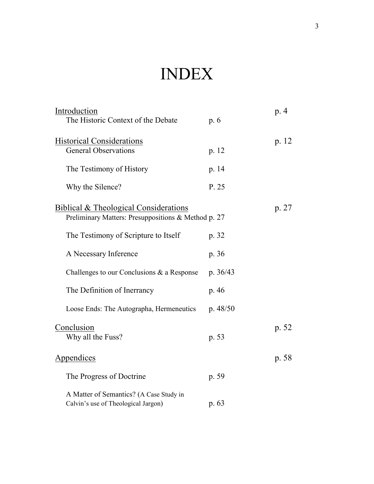# INDEX

| Introduction                                                                   |            | p. 4  |
|--------------------------------------------------------------------------------|------------|-------|
| The Historic Context of the Debate                                             | p.6        |       |
| <b>Historical Considerations</b><br><b>General Observations</b>                |            | p. 12 |
|                                                                                | p. 12      |       |
| The Testimony of History                                                       | p. 14      |       |
| Why the Silence?                                                               | P. 25      |       |
| <b>Biblical &amp; Theological Considerations</b>                               |            | p. 27 |
| Preliminary Matters: Presuppositions & Method p. 27                            |            |       |
| The Testimony of Scripture to Itself                                           | p. 32      |       |
| A Necessary Inference                                                          | p. 36      |       |
| Challenges to our Conclusions $\&$ a Response                                  | p. $36/43$ |       |
| The Definition of Inerrancy                                                    | p. 46      |       |
| Loose Ends: The Autographa, Hermeneutics                                       | p. $48/50$ |       |
| Conclusion                                                                     |            | p. 52 |
| Why all the Fuss?                                                              | p. 53      |       |
| Appendices                                                                     |            | p. 58 |
| The Progress of Doctrine                                                       | p. 59      |       |
| A Matter of Semantics? (A Case Study in<br>Calvin's use of Theological Jargon) | p. 63      |       |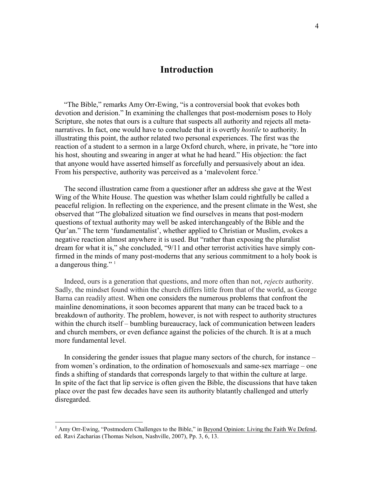# **Introduction**

 "The Bible," remarks Amy Orr-Ewing, "is a controversial book that evokes both devotion and derision." In examining the challenges that post-modernism poses to Holy Scripture, she notes that ours is a culture that suspects all authority and rejects all metanarratives. In fact, one would have to conclude that it is overtly *hostile* to authority. In illustrating this point, the author related two personal experiences. The first was the reaction of a student to a sermon in a large Oxford church, where, in private, he "tore into his host, shouting and swearing in anger at what he had heard." His objection: the fact that anyone would have asserted himself as forcefully and persuasively about an idea. From his perspective, authority was perceived as a 'malevolent force.'

 The second illustration came from a questioner after an address she gave at the West Wing of the White House. The question was whether Islam could rightfully be called a peaceful religion. In reflecting on the experience, and the present climate in the West, she observed that "The globalized situation we find ourselves in means that post-modern questions of textual authority may well be asked interchangeably of the Bible and the Qur'an." The term 'fundamentalist', whether applied to Christian or Muslim, evokes a negative reaction almost anywhere it is used. But "rather than exposing the pluralist dream for what it is," she concluded, "9/11 and other terrorist activities have simply confirmed in the minds of many post-moderns that any serious commitment to a holy book is a dangerous thing." $1$ 

 Indeed, ours is a generation that questions, and more often than not, *rejects* authority. Sadly, the mindset found within the church differs little from that of the world, as George Barna can readily attest. When one considers the numerous problems that confront the mainline denominations, it soon becomes apparent that many can be traced back to a breakdown of authority. The problem, however, is not with respect to authority structures within the church itself – bumbling bureaucracy, lack of communication between leaders and church members, or even defiance against the policies of the church. It is at a much more fundamental level.

 In considering the gender issues that plague many sectors of the church, for instance – from women's ordination, to the ordination of homosexuals and same-sex marriage – one finds a shifting of standards that corresponds largely to that within the culture at large. In spite of the fact that lip service is often given the Bible, the discussions that have taken place over the past few decades have seen its authority blatantly challenged and utterly disregarded.

<sup>&</sup>lt;sup>1</sup> Amy Orr-Ewing, "Postmodern Challenges to the Bible," in <u>Beyond Opinion: Living the Faith We Defend</u>, ed. Ravi Zacharias (Thomas Nelson, Nashville, 2007), Pp. 3, 6, 13.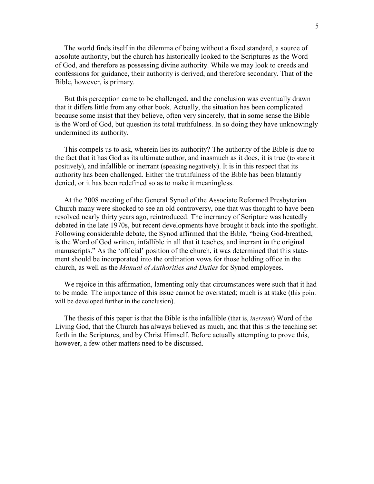The world finds itself in the dilemma of being without a fixed standard, a source of absolute authority, but the church has historically looked to the Scriptures as the Word of God, and therefore as possessing divine authority. While we may look to creeds and confessions for guidance, their authority is derived, and therefore secondary. That of the Bible, however, is primary.

 But this perception came to be challenged, and the conclusion was eventually drawn that it differs little from any other book. Actually, the situation has been complicated because some insist that they believe, often very sincerely, that in some sense the Bible is the Word of God, but question its total truthfulness. In so doing they have unknowingly undermined its authority.

 This compels us to ask, wherein lies its authority? The authority of the Bible is due to the fact that it has God as its ultimate author, and inasmuch as it does, it is true (to state it positively), and infallible or inerrant (speaking negatively). It is in this respect that its authority has been challenged. Either the truthfulness of the Bible has been blatantly denied, or it has been redefined so as to make it meaningless.

 At the 2008 meeting of the General Synod of the Associate Reformed Presbyterian Church many were shocked to see an old controversy, one that was thought to have been resolved nearly thirty years ago, reintroduced. The inerrancy of Scripture was heatedly debated in the late 1970s, but recent developments have brought it back into the spotlight. Following considerable debate, the Synod affirmed that the Bible, "being God-breathed, is the Word of God written, infallible in all that it teaches, and inerrant in the original manuscripts." As the 'official' position of the church, it was determined that this statement should be incorporated into the ordination vows for those holding office in the church, as well as the *Manual of Authorities and Duties* for Synod employees.

 We rejoice in this affirmation, lamenting only that circumstances were such that it had to be made. The importance of this issue cannot be overstated; much is at stake (this point will be developed further in the conclusion).

 The thesis of this paper is that the Bible is the infallible (that is, *inerrant*) Word of the Living God, that the Church has always believed as much, and that this is the teaching set forth in the Scriptures, and by Christ Himself. Before actually attempting to prove this, however, a few other matters need to be discussed.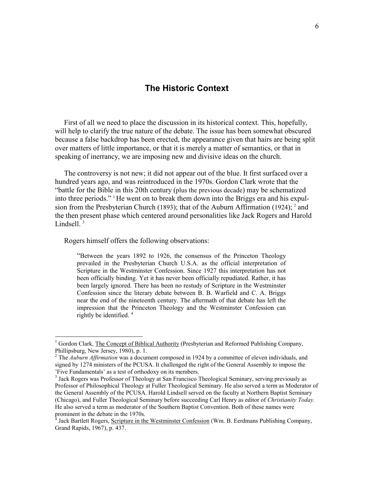### **The Historic Context**

 First of all we need to place the discussion in its historical context. This, hopefully, will help to clarify the true nature of the debate. The issue has been somewhat obscured because a false backdrop has been erected, the appearance given that hairs are being split over matters of little importance, or that it is merely a matter of semantics, or that in speaking of inerrancy, we are imposing new and divisive ideas on the church.

 The controversy is not new; it did not appear out of the blue. It first surfaced over a hundred years ago, and was reintroduced in the 1970s. Gordon Clark wrote that the "battle for the Bible in this 20th century (plus the previous decade) may be schematized into three periods." <sup>1</sup>He went on to break them down into the Briggs era and his expulsion from the Presbyterian Church (1893); that of the Auburn Affirmation (1924);  $^2$  and the then present phase which centered around personalities like Jack Rogers and Harold Lindsell.<sup>3</sup>

Rogers himself offers the following observations:

"Between the years 1892 to 1926, the consensus of the Princeton Theology prevailed in the Presbyterian Church U.S.A. as the official interpretation of Scripture in the Westminster Confession. Since 1927 this interpretation has not been officially binding. Yet it has never been officially repudiated. Rather, it has been largely ignored. There has been no restudy of Scripture in the Westminster Confession since the literary debate between B. B. Warfield and C. A. Briggs near the end of the nineteenth century. The aftermath of that debate has left the impression that the Princeton Theology and the Westminster Confession can rightly be identified. 4

<sup>&</sup>lt;sup>1</sup> Gordon Clark, The Concept of Biblical Authority (Presbyterian and Reformed Publishing Company, Phillipsburg, New Jersey, 1980), p. 1.

<sup>&</sup>lt;sup>2</sup> The *Auburn Affirmation* was a document composed in 1924 by a committee of eleven individuals, and signed by 1274 ministers of the PCUSA. It challenged the right of the General Assembly to impose the 'Five Fundamentals' as a test of orthodoxy on its members.

<sup>&</sup>lt;sup>3</sup> Jack Rogers was Professor of Theology at San Francisco Theological Seminary, serving previously as Professor of Philosophical Theology at Fuller Theological Seminary. He also served a term as Moderator of the General Assembly of the PCUSA. Harold Lindsell served on the faculty at Northern Baptist Seminary (Chicago), and Fuller Theological Seminary before succeeding Carl Henry as editor of *Christianity Today.*  He also served a term as moderator of the Southern Baptist Convention. Both of these names were prominent in the debate in the 1970s.

<sup>4</sup> Jack Bartlett Rogers, Scripture in the Westminster Confession (Wm. B. Eerdmans Publishing Company, Grand Rapids, 1967), p. 437.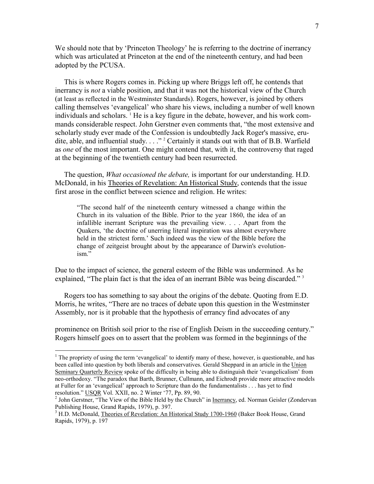We should note that by 'Princeton Theology' he is referring to the doctrine of inerrancy which was articulated at Princeton at the end of the nineteenth century, and had been adopted by the PCUSA.

 This is where Rogers comes in. Picking up where Briggs left off, he contends that inerrancy is *not* a viable position, and that it was not the historical view of the Church (at least as reflected in the Westminster Standards). Rogers, however, is joined by others calling themselves 'evangelical' who share his views, including a number of well known individuals and scholars. <sup>1</sup> He is a key figure in the debate, however, and his work commands considerable respect. John Gerstner even comments that, "the most extensive and scholarly study ever made of the Confession is undoubtedly Jack Roger's massive, erudite, able, and influential study.  $\ldots$  " 2 Certainly it stands out with that of B.B. Warfield as *one* of the most important. One might contend that, with it, the controversy that raged at the beginning of the twentieth century had been resurrected.

 The question, *What occasioned the debate,* is important for our understanding. H.D. McDonald, in his Theories of Revelation: An Historical Study, contends that the issue first arose in the conflict between science and religion. He writes:

"The second half of the nineteenth century witnessed a change within the Church in its valuation of the Bible. Prior to the year 1860, the idea of an infallible inerrant Scripture was the prevailing view. . . . Apart from the Quakers, 'the doctrine of unerring literal inspiration was almost everywhere held in the strictest form.' Such indeed was the view of the Bible before the change of zeitgeist brought about by the appearance of Darwin's evolutionism."

Due to the impact of science, the general esteem of the Bible was undermined. As he explained, "The plain fact is that the idea of an inerrant Bible was being discarded."<sup>3</sup>

 Rogers too has something to say about the origins of the debate. Quoting from E.D. Morris, he writes, "There are no traces of debate upon this question in the Westminster Assembly, nor is it probable that the hypothesis of errancy find advocates of any

prominence on British soil prior to the rise of English Deism in the succeeding century." Rogers himself goes on to assert that the problem was formed in the beginnings of the

<sup>&</sup>lt;sup>1</sup> The propriety of using the term 'evangelical' to identify many of these, however, is questionable, and has been called into question by both liberals and conservatives. Gerald Sheppard in an article in the Union Seminary Quarterly Review spoke of the difficulty in being able to distinguish their 'evangelicalism' from neo-orthodoxy. "The paradox that Barth, Brunner, Cullmann, and Eichrodt provide more attractive models at Fuller for an 'evangelical' approach to Scripture than do the fundamentalists . . . has yet to find resolution." USQR Vol. XXII, no. 2 Winter '77, Pp. 89, 90.

<sup>&</sup>lt;sup>2</sup> John Gerstner, "The View of the Bible Held by the Church" in Inerrancy, ed. Norman Geisler (Zondervan Publishing House, Grand Rapids, 1979), p. 397.

<sup>&</sup>lt;sup>3</sup> H.D. McDonald, Theories of Revelation: An Historical Study 1700-1960 (Baker Book House, Grand Rapids, 1979), p. 197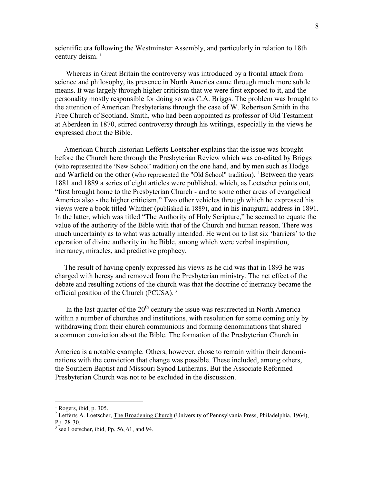scientific era following the Westminster Assembly, and particularly in relation to 18th century deism.<sup>1</sup>

 Whereas in Great Britain the controversy was introduced by a frontal attack from science and philosophy, its presence in North America came through much more subtle means. It was largely through higher criticism that we were first exposed to it, and the personality mostly responsible for doing so was C.A. Briggs. The problem was brought to the attention of American Presbyterians through the case of W. Robertson Smith in the Free Church of Scotland. Smith, who had been appointed as professor of Old Testament at Aberdeen in 1870, stirred controversy through his writings, especially in the views he expressed about the Bible.

 American Church historian Lefferts Loetscher explains that the issue was brought before the Church here through the Presbyterian Review which was co-edited by Briggs (who represented the 'New School' tradition) on the one hand, and by men such as Hodge and Warfield on the other (who represented the "Old School" tradition).  $2$  Between the years 1881 and 1889 a series of eight articles were published, which, as Loetscher points out, "first brought home to the Presbyterian Church - and to some other areas of evangelical America also - the higher criticism." Two other vehicles through which he expressed his views were a book titled Whither (published in 1889), and in his inaugural address in 1891. In the latter, which was titled "The Authority of Holy Scripture," he seemed to equate the value of the authority of the Bible with that of the Church and human reason. There was much uncertainty as to what was actually intended. He went on to list six 'barriers' to the operation of divine authority in the Bible, among which were verbal inspiration, inerrancy, miracles, and predictive prophecy.

 The result of having openly expressed his views as he did was that in 1893 he was charged with heresy and removed from the Presbyterian ministry. The net effect of the debate and resulting actions of the church was that the doctrine of inerrancy became the official position of the Church (PCUSA). <sup>3</sup>

In the last quarter of the  $20<sup>th</sup>$  century the issue was resurrected in North America within a number of churches and institutions, with resolution for some coming only by withdrawing from their church communions and forming denominations that shared a common conviction about the Bible. The formation of the Presbyterian Church in

America is a notable example. Others, however, chose to remain within their denominations with the conviction that change was possible. These included, among others, the Southern Baptist and Missouri Synod Lutherans. But the Associate Reformed Presbyterian Church was not to be excluded in the discussion.

 $<sup>1</sup>$  Rogers, ibid, p. 305.</sup>

<sup>&</sup>lt;sup>2</sup> Lefferts A. Loetscher, The Broadening Church (University of Pennsylvania Press, Philadelphia, 1964), Pp. 28-30.<br><sup>3</sup> see Loetscher, ibid, Pp. 56, 61, and 94.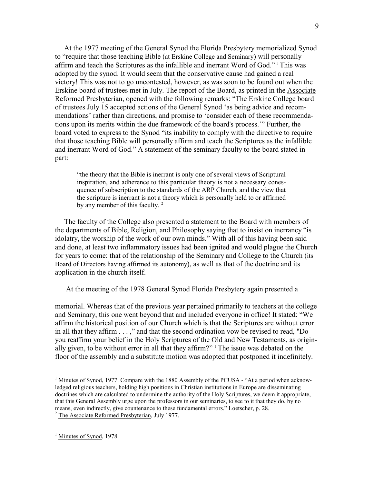At the 1977 meeting of the General Synod the Florida Presbytery memorialized Synod to "require that those teaching Bible (at Erskine College and Seminary) will personally affirm and teach the Scriptures as the infallible and inerrant Word of God." <sup>1</sup> This was adopted by the synod. It would seem that the conservative cause had gained a real victory! This was not to go uncontested, however, as was soon to be found out when the Erskine board of trustees met in July. The report of the Board, as printed in the Associate Reformed Presbyterian, opened with the following remarks: "The Erskine College board of trustees July 15 accepted actions of the General Synod 'as being advice and recommendations' rather than directions, and promise to 'consider each of these recommendations upon its merits within the due framework of the board's process.'" Further, the board voted to express to the Synod "its inability to comply with the directive to require that those teaching Bible will personally affirm and teach the Scriptures as the infallible and inerrant Word of God." A statement of the seminary faculty to the board stated in part:

"the theory that the Bible is inerrant is only one of several views of Scriptural inspiration, and adherence to this particular theory is not a necessary conesquence of subscription to the standards of the ARP Church, and the view that the scripture is inerrant is not a theory which is personally held to or affirmed by any member of this faculty.<sup>2</sup>

 The faculty of the College also presented a statement to the Board with members of the departments of Bible, Religion, and Philosophy saying that to insist on inerrancy "is idolatry, the worship of the work of our own minds." With all of this having been said and done, at least two inflammatory issues had been ignited and would plague the Church for years to come: that of the relationship of the Seminary and College to the Church (its Board of Directors having affirmed its autonomy), as well as that of the doctrine and its application in the church itself.

At the meeting of the 1978 General Synod Florida Presbytery again presented a

memorial. Whereas that of the previous year pertained primarily to teachers at the college and Seminary, this one went beyond that and included everyone in office! It stated: "We affirm the historical position of our Church which is that the Scriptures are without error in all that they affirm . . . ," and that the second ordination vow be revised to read, "Do you reaffirm your belief in the Holy Scriptures of the Old and New Testaments, as originally given, to be without error in all that they affirm?"<sup>1</sup> The issue was debated on the floor of the assembly and a substitute motion was adopted that postponed it indefinitely.

<sup>&</sup>lt;sup>1</sup> Minutes of Synod, 1977. Compare with the 1880 Assembly of the PCUSA - "At a period when acknowledged religious teachers, holding high positions in Christian institutions in Europe are disseminating doctrines which are calculated to undermine the authority of the Holy Scriptures, we deem it appropriate, that this General Assembly urge upon the professors in our seminaries, to see to it that they do, by no means, even indirectly, give countenance to these fundamental errors." Loetscher, p. 28. <sup>2</sup> The Associate Reformed Presbyterian, July 1977.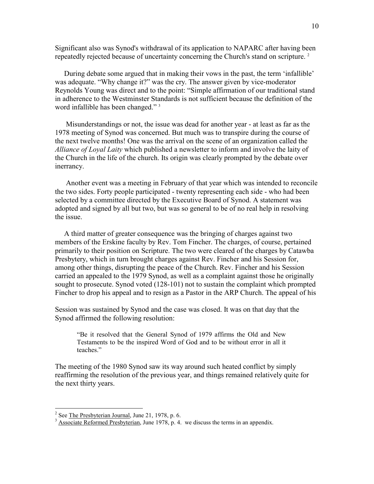Significant also was Synod's withdrawal of its application to NAPARC after having been repeatedly rejected because of uncertainty concerning the Church's stand on scripture.<sup>2</sup>

 During debate some argued that in making their vows in the past, the term 'infallible' was adequate. "Why change it?" was the cry. The answer given by vice-moderator Reynolds Young was direct and to the point: "Simple affirmation of our traditional stand in adherence to the Westminster Standards is not sufficient because the definition of the word infallible has been changed."<sup>3</sup>

 Misunderstandings or not, the issue was dead for another year - at least as far as the 1978 meeting of Synod was concerned. But much was to transpire during the course of the next twelve months! One was the arrival on the scene of an organization called the *Alliance of Loyal Laity* which published a newsletter to inform and involve the laity of the Church in the life of the church. Its origin was clearly prompted by the debate over inerrancy.

 Another event was a meeting in February of that year which was intended to reconcile the two sides. Forty people participated - twenty representing each side - who had been selected by a committee directed by the Executive Board of Synod. A statement was adopted and signed by all but two, but was so general to be of no real help in resolving the issue.

 A third matter of greater consequence was the bringing of charges against two members of the Erskine faculty by Rev. Tom Fincher. The charges, of course, pertained primarily to their position on Scripture. The two were cleared of the charges by Catawba Presbytery, which in turn brought charges against Rev. Fincher and his Session for, among other things, disrupting the peace of the Church. Rev. Fincher and his Session carried an appealed to the 1979 Synod, as well as a complaint against those he originally sought to prosecute. Synod voted (128-101) not to sustain the complaint which prompted Fincher to drop his appeal and to resign as a Pastor in the ARP Church. The appeal of his

Session was sustained by Synod and the case was closed. It was on that day that the Synod affirmed the following resolution:

"Be it resolved that the General Synod of 1979 affirms the Old and New Testaments to be the inspired Word of God and to be without error in all it teaches."

The meeting of the 1980 Synod saw its way around such heated conflict by simply reaffirming the resolution of the previous year, and things remained relatively quite for the next thirty years.

<sup>&</sup>lt;sup>2</sup> See The Presbyterian Journal, June 21, 1978, p. 6.

 $3 \text{ Associate Reformed Presbyterian}$ , June 1978, p. 4. we discuss the terms in an appendix.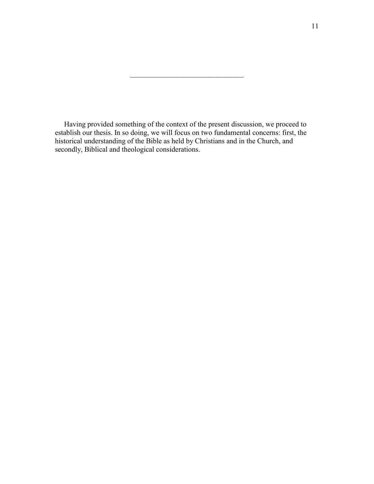Having provided something of the context of the present discussion, we proceed to establish our thesis. In so doing, we will focus on two fundamental concerns: first, the historical understanding of the Bible as held by Christians and in the Church, and secondly, Biblical and theological considerations.

 $\mathcal{L}_\mathcal{L}$  , where  $\mathcal{L}_\mathcal{L}$  , we have the set of the set of the set of the set of the set of the set of the set of the set of the set of the set of the set of the set of the set of the set of the set of the set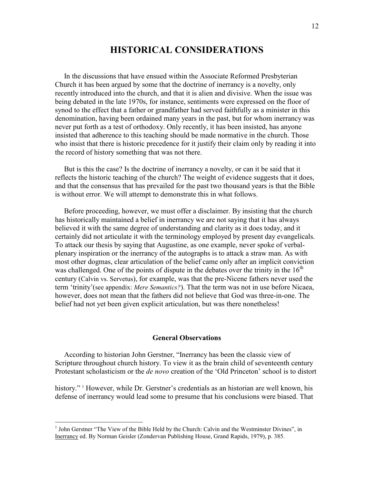## **HISTORICAL COSIDERATIOS**

 In the discussions that have ensued within the Associate Reformed Presbyterian Church it has been argued by some that the doctrine of inerrancy is a novelty, only recently introduced into the church, and that it is alien and divisive. When the issue was being debated in the late 1970s, for instance, sentiments were expressed on the floor of synod to the effect that a father or grandfather had served faithfully as a minister in this denomination, having been ordained many years in the past, but for whom inerrancy was never put forth as a test of orthodoxy. Only recently, it has been insisted, has anyone insisted that adherence to this teaching should be made normative in the church. Those who insist that there is historic precedence for it justify their claim only by reading it into the record of history something that was not there.

 But is this the case? Is the doctrine of inerrancy a novelty, or can it be said that it reflects the historic teaching of the church? The weight of evidence suggests that it does, and that the consensus that has prevailed for the past two thousand years is that the Bible is without error. We will attempt to demonstrate this in what follows.

 Before proceeding, however, we must offer a disclaimer. By insisting that the church has historically maintained a belief in inerrancy we are not saying that it has always believed it with the same degree of understanding and clarity as it does today, and it certainly did not articulate it with the terminology employed by present day evangelicals. To attack our thesis by saying that Augustine, as one example, never spoke of verbalplenary inspiration or the inerrancy of the autographs is to attack a straw man. As with most other dogmas, clear articulation of the belief came only after an implicit conviction was challenged. One of the points of dispute in the debates over the trinity in the  $16<sup>th</sup>$ century (Calvin vs. Servetus), for example, was that the pre-Nicene fathers never used the term 'trinity'(see appendix: *Mere Semantics?*). That the term was not in use before Nicaea, however, does not mean that the fathers did not believe that God was three-in-one. The belief had not yet been given explicit articulation, but was there nonetheless!

#### **General Observations**

 According to historian John Gerstner, "Inerrancy has been the classic view of Scripture throughout church history. To view it as the brain child of seventeenth century Protestant scholasticism or the *de novo* creation of the 'Old Princeton' school is to distort

history." <sup>1</sup> However, while Dr. Gerstner's credentials as an historian are well known, his defense of inerrancy would lead some to presume that his conclusions were biased. That

<sup>&</sup>lt;sup>1</sup> John Gerstner "The View of the Bible Held by the Church: Calvin and the Westminster Divines", in Inerrancy ed. By Norman Geisler (Zondervan Publishing House, Grand Rapids, 1979), p. 385.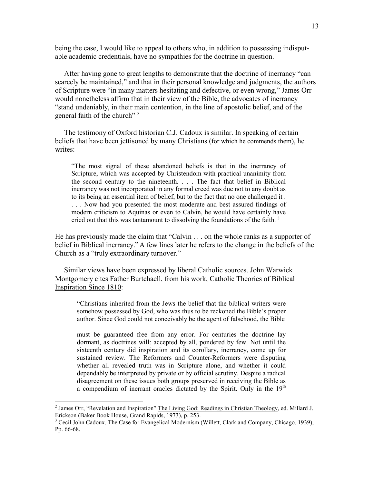being the case, I would like to appeal to others who, in addition to possessing indisputable academic credentials, have no sympathies for the doctrine in question.

 After having gone to great lengths to demonstrate that the doctrine of inerrancy "can scarcely be maintained," and that in their personal knowledge and judgments, the authors of Scripture were "in many matters hesitating and defective, or even wrong," James Orr would nonetheless affirm that in their view of the Bible, the advocates of inerrancy "stand undeniably, in their main contention, in the line of apostolic belief, and of the general faith of the church"<sup>2</sup>

 The testimony of Oxford historian C.J. Cadoux is similar. In speaking of certain beliefs that have been jettisoned by many Christians (for which he commends them), he writes<sup>.</sup>

"The most signal of these abandoned beliefs is that in the inerrancy of Scripture, which was accepted by Christendom with practical unanimity from the second century to the nineteenth. . . . The fact that belief in Biblical inerrancy was not incorporated in any formal creed was due not to any doubt as to its being an essential item of belief, but to the fact that no one challenged it . . . . Now had you presented the most moderate and best assured findings of modern criticism to Aquinas or even to Calvin, he would have certainly have cried out that this was tantamount to dissolving the foundations of the faith.<sup>3</sup>

He has previously made the claim that "Calvin . . . on the whole ranks as a supporter of belief in Biblical inerrancy." A few lines later he refers to the change in the beliefs of the Church as a "truly extraordinary turnover."

 Similar views have been expressed by liberal Catholic sources. John Warwick Montgomery cites Father Burtchaell, from his work, Catholic Theories of Biblical Inspiration Since 1810:

"Christians inherited from the Jews the belief that the biblical writers were somehow possessed by God, who was thus to be reckoned the Bible's proper author. Since God could not conceivably be the agent of falsehood, the Bible

must be guaranteed free from any error. For centuries the doctrine lay dormant, as doctrines will: accepted by all, pondered by few. Not until the sixteenth century did inspiration and its corollary, inerrancy, come up for sustained review. The Reformers and Counter-Reformers were disputing whether all revealed truth was in Scripture alone, and whether it could dependably be interpreted by private or by official scrutiny. Despite a radical disagreement on these issues both groups preserved in receiving the Bible as a compendium of inerrant oracles dictated by the Spirit. Only in the  $19<sup>th</sup>$ 

<sup>&</sup>lt;sup>2</sup> James Orr, "Revelation and Inspiration" The Living God: Readings in Christian Theology, ed. Millard J. Erickson (Baker Book House, Grand Rapids, 1973), p. 253.

<sup>&</sup>lt;sup>3</sup> Cecil John Cadoux, The Case for Evangelical Modernism (Willett, Clark and Company, Chicago, 1939), Pp. 66-68.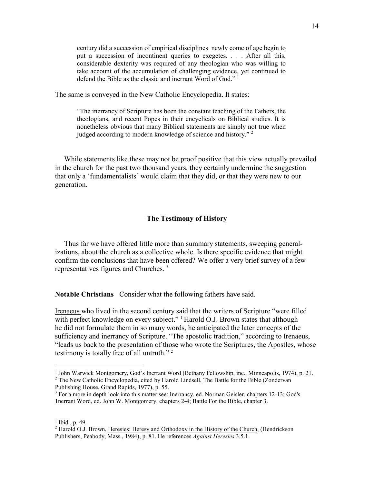century did a succession of empirical disciplines newly come of age begin to put a succession of incontinent queries to exegetes. . . . After all this, considerable dexterity was required of any theologian who was willing to take account of the accumulation of challenging evidence, yet continued to defend the Bible as the classic and inerrant Word of God."<sup>1</sup>

The same is conveyed in the New Catholic Encyclopedia. It states:

"The inerrancy of Scripture has been the constant teaching of the Fathers, the theologians, and recent Popes in their encyclicals on Biblical studies. It is nonetheless obvious that many Biblical statements are simply not true when judged according to modern knowledge of science and history." <sup>2</sup>

 While statements like these may not be proof positive that this view actually prevailed in the church for the past two thousand years, they certainly undermine the suggestion that only a 'fundamentalists' would claim that they did, or that they were new to our generation.

#### **The Testimony of History**

 Thus far we have offered little more than summary statements, sweeping generalizations, about the church as a collective whole. Is there specific evidence that might confirm the conclusions that have been offered? We offer a very brief survey of a few representatives figures and Churches. <sup>3</sup>

**Notable Christians** Consider what the following fathers have said.

Irenaeus who lived in the second century said that the writers of Scripture "were filled with perfect knowledge on every subject."<sup>1</sup> Harold O.J. Brown states that although he did not formulate them in so many words, he anticipated the later concepts of the sufficiency and inerrancy of Scripture. "The apostolic tradition," according to Irenaeus, "leads us back to the presentation of those who wrote the Scriptures, the Apostles, whose testimony is totally free of all untruth."<sup>2</sup>

<sup>&</sup>lt;sup>1</sup> John Warwick Montgomery, God's Inerrant Word (Bethany Fellowship, inc., Minneapolis, 1974), p. 21. <sup>2</sup> The New Catholic Encyclopedia, cited by Harold Lindsell, The Battle for the Bible (Zondervan

Publishing House, Grand Rapids, 1977), p. 55.

<sup>&</sup>lt;sup>3</sup> For a more in depth look into this matter see: Inerrancy, ed. Norman Geisler, chapters 12-13; God's 1nerrant Word, ed. John W. Montgomery, chapters 2-4; Battle For the Bible, chapter 3.

 $<sup>1</sup>$  Ibid., p. 49.</sup>

<sup>&</sup>lt;sup>2</sup> Harold O.J. Brown, Heresies: Heresy and Orthodoxy in the History of the Church, (Hendrickson Publishers, Peabody, Mass., 1984), p. 81. He references *Against Heresies* 3.5.1.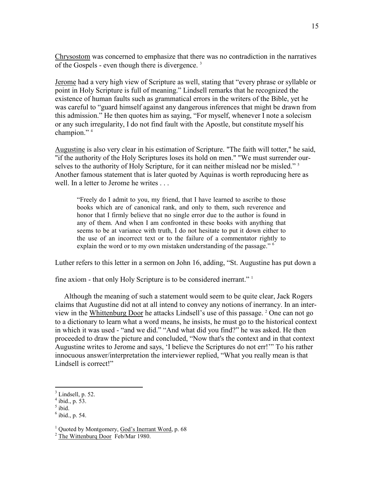Chrysostom was concerned to emphasize that there was no contradiction in the narratives of the Gospels - even though there is divergence. <sup>3</sup>

Jerome had a very high view of Scripture as well, stating that "every phrase or syllable or point in Holy Scripture is full of meaning." Lindsell remarks that he recognized the existence of human faults such as grammatical errors in the writers of the Bible, yet he was careful to "guard himself against any dangerous inferences that might be drawn from this admission." He then quotes him as saying, "For myself, whenever I note a solecism or any such irregularity, I do not find fault with the Apostle, but constitute myself his champion."<sup>4</sup>

Augustine is also very clear in his estimation of Scripture. "The faith will totter," he said, "if the authority of the Holy Scriptures loses its hold on men." "We must surrender ourselves to the authority of Holy Scripture, for it can neither mislead nor be misled."<sup>5</sup> Another famous statement that is later quoted by Aquinas is worth reproducing here as well. In a letter to Jerome he writes . . .

"Freely do I admit to you, my friend, that I have learned to ascribe to those books which are of canonical rank, and only to them, such reverence and honor that I firmly believe that no single error due to the author is found in any of them. And when I am confronted in these books with anything that seems to be at variance with truth, I do not hesitate to put it down either to the use of an incorrect text or to the failure of a commentator rightly to explain the word or to my own mistaken understanding of the passage." <sup>6</sup>

Luther refers to this letter in a sermon on John 16, adding, "St. Augustine has put down a

fine axiom - that only Holy Scripture is to be considered inerrant." <sup>1</sup>

 Although the meaning of such a statement would seem to be quite clear, Jack Rogers claims that Augustine did not at all intend to convey any notions of inerrancy. In an interview in the Whittenburg Door he attacks Lindsell's use of this passage. <sup>2</sup> One can not go to a dictionary to learn what a word means, he insists, he must go to the historical context in which it was used - "and we did." "And what did you find?" he was asked. He then proceeded to draw the picture and concluded, "Now that's the context and in that context Augustine writes to Jerome and says, 'I believe the Scriptures do not err!'" To his rather innocuous answer/interpretation the interviewer replied, "What you really mean is that Lindsell is correct!"

 $<sup>3</sup>$  Lindsell, p. 52.</sup>

 $4$  ibid., p. 53.

 $<sup>5</sup>$  ibid.</sup>

 $<sup>6</sup>$  ibid., p. 54.</sup>

<sup>&</sup>lt;sup>1</sup> Quoted by Montgomery, God's Inerrant Word, p. 68

 $2$  The Wittenburg Door Feb/Mar 1980.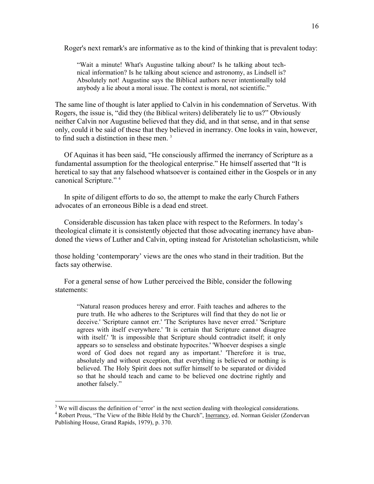Roger's next remark's are informative as to the kind of thinking that is prevalent today:

"Wait a minute! What's Augustine talking about? Is he talking about technical information? Is he talking about science and astronomy, as Lindsell is? Absolutely not! Augustine says the Biblical authors never intentionally told anybody a lie about a moral issue. The context is moral, not scientific."

The same line of thought is later applied to Calvin in his condemnation of Servetus. With Rogers, the issue is, "did they (the Biblical writers) deliberately lie to us?" Obviously neither Calvin nor Augustine believed that they did, and in that sense, and in that sense only, could it be said of these that they believed in inerrancy. One looks in vain, however, to find such a distinction in these men.<sup>3</sup>

 Of Aquinas it has been said, "He consciously affirmed the inerrancy of Scripture as a fundamental assumption for the theological enterprise." He himself asserted that "It is heretical to say that any falsehood whatsoever is contained either in the Gospels or in any canonical Scripture." <sup>4</sup>

 In spite of diligent efforts to do so, the attempt to make the early Church Fathers advocates of an erroneous Bible is a dead end street.

 Considerable discussion has taken place with respect to the Reformers. In today's theological climate it is consistently objected that those advocating inerrancy have abandoned the views of Luther and Calvin, opting instead for Aristotelian scholasticism, while

those holding 'contemporary' views are the ones who stand in their tradition. But the facts say otherwise.

 For a general sense of how Luther perceived the Bible, consider the following statements:

"Natural reason produces heresy and error. Faith teaches and adheres to the pure truth. He who adheres to the Scriptures will find that they do not lie or deceive.' 'Scripture cannot err.' 'The Scriptures have never erred.' 'Scripture agrees with itself everywhere.' 'It is certain that Scripture cannot disagree with itself.' 'It is impossible that Scripture should contradict itself; it only appears so to senseless and obstinate hypocrites.' 'Whoever despises a single word of God does not regard any as important.' 'Therefore it is true, absolutely and without exception, that everything is believed or nothing is believed. The Holy Spirit does not suffer himself to be separated or divided so that he should teach and came to be believed one doctrine rightly and another falsely."

<sup>&</sup>lt;sup>3</sup> We will discuss the definition of 'error' in the next section dealing with theological considerations.

<sup>&</sup>lt;sup>4</sup> Robert Preus, "The View of the Bible Held by the Church", Inerrancy, ed. Norman Geisler (Zondervan Publishing House, Grand Rapids, 1979), p. 370.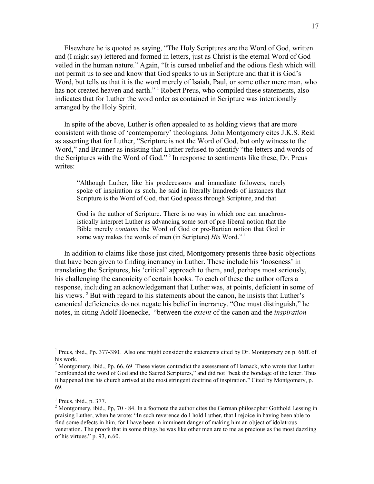Elsewhere he is quoted as saying, "The Holy Scriptures are the Word of God, written and (I might say) lettered and formed in letters, just as Christ is the eternal Word of God veiled in the human nature." Again, "It is cursed unbelief and the odious flesh which will not permit us to see and know that God speaks to us in Scripture and that it is God's Word, but tells us that it is the word merely of Isaiah, Paul, or some other mere man, who has not created heaven and earth." <sup>1</sup> Robert Preus, who compiled these statements, also indicates that for Luther the word order as contained in Scripture was intentionally arranged by the Holy Spirit.

 In spite of the above, Luther is often appealed to as holding views that are more consistent with those of 'contemporary' theologians. John Montgomery cites J.K.S. Reid as asserting that for Luther, "Scripture is not the Word of God, but only witness to the Word," and Brunner as insisting that Luther refused to identify "the letters and words of the Scriptures with the Word of God." <sup>2</sup> In response to sentiments like these, Dr. Preus writes:

"Although Luther, like his predecessors and immediate followers, rarely spoke of inspiration as such, he said in literally hundreds of instances that Scripture is the Word of God, that God speaks through Scripture, and that

God is the author of Scripture. There is no way in which one can anachronistically interpret Luther as advancing some sort of pre-liberal notion that the Bible merely *contains* the Word of God or pre-Bartian notion that God in some way makes the words of men (in Scripture) *His* Word." <sup>1</sup>

 In addition to claims like those just cited, Montgomery presents three basic objections that have been given to finding inerrancy in Luther. These include his 'looseness' in translating the Scriptures, his 'critical' approach to them, and, perhaps most seriously, his challenging the canonicity of certain books. To each of these the author offers a response, including an acknowledgement that Luther was, at points, deficient in some of his views.<sup>2</sup> But with regard to his statements about the canon, he insists that Luther's canonical deficiencies do not negate his belief in inerrancy. "One must distinguish," he notes, in citing Adolf Hoenecke, "between the *extent* of the canon and the *inspiration* 

<sup>&</sup>lt;sup>1</sup> Preus, ibid., Pp. 377-380. Also one might consider the statements cited by Dr. Montgomery on p. 66ff. of his work.

<sup>&</sup>lt;sup>2</sup> Montgomery, ibid., Pp. 66, 69 These views contradict the assessment of Harnack, who wrote that Luther "confounded the word of God and the Sacred Scriptures," and did not "beak the bondage of the letter. Thus it happened that his church arrived at the most stringent doctrine of inspiration." Cited by Montgomery, p. 69.

 $<sup>1</sup>$  Preus, ibid., p. 377.</sup>

<sup>&</sup>lt;sup>2</sup> Montgomery, ibid., Pp, 70 - 84. In a footnote the author cites the German philosopher Gotthold Lessing in praising Luther, when he wrote: "In such reverence do I hold Luther, that I rejoice in having been able to find some defects in him, for I have been in imminent danger of making him an object of idolatrous veneration. The proofs that in some things he was like other men are to me as precious as the most dazzling of his virtues." p. 93, n.60.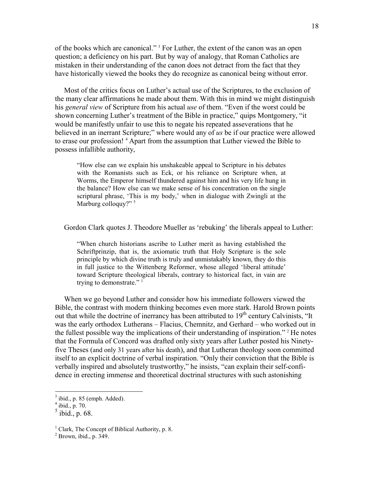of the books which are canonical."<sup>3</sup> For Luther, the extent of the canon was an open question; a deficiency on his part. But by way of analogy, that Roman Catholics are mistaken in their understanding of the canon does not detract from the fact that they have historically viewed the books they do recognize as canonical being without error.

 Most of the critics focus on Luther's actual use of the Scriptures, to the exclusion of the many clear affirmations he made about them. With this in mind we might distinguish his *general view* of Scripture from his actual *use* of them. "Even if the worst could be shown concerning Luther's treatment of the Bible in practice," quips Montgomery, "it would be manifestly unfair to use this to negate his repeated asseverations that he believed in an inerrant Scripture;" where would any of *us* be if our practice were allowed to erase our profession! <sup>4</sup> Apart from the assumption that Luther viewed the Bible to possess infallible authority,

"How else can we explain his unshakeable appeal to Scripture in his debates with the Romanists such as Eck, or his reliance on Scripture when, at Worms, the Emperor himself thundered against him and his very life hung in the balance? How else can we make sense of his concentration on the single scriptural phrase, 'This is my body,' when in dialogue with Zwingli at the Marburg colloquy?"<sup>5</sup>

Gordon Clark quotes J. Theodore Mueller as 'rebuking' the liberals appeal to Luther:

"When church historians ascribe to Luther merit as having established the Schriftprinzip, that is, the axiomatic truth that Holy Scripture is the sole principle by which divine truth is truly and unmistakably known, they do this in full justice to the Wittenberg Reformer, whose alleged 'liberal attitude' toward Scripture theological liberals, contrary to historical fact, in vain are trying to demonstrate." $1$ 

 When we go beyond Luther and consider how his immediate followers viewed the Bible, the contrast with modern thinking becomes even more stark. Harold Brown points out that while the doctrine of inerrancy has been attributed to  $19<sup>th</sup>$  century Calvinists, "It was the early orthodox Lutherans – Flacius, Chemnitz, and Gerhard – who worked out in the fullest possible way the implications of their understanding of inspiration."  $2$  He notes that the Formula of Concord was drafted only sixty years after Luther posted his Ninetyfive Theses (and only 31 years after his death), and that Lutheran theology soon committed itself to an explicit doctrine of verbal inspiration. "Only their conviction that the Bible is verbally inspired and absolutely trustworthy," he insists, "can explain their self-confidence in erecting immense and theoretical doctrinal structures with such astonishing

 $3$  ibid., p. 85 (emph. Added).

 $4$  ibid., p. 70.

 $<sup>5</sup>$  ibid., p. 68.</sup>

<sup>&</sup>lt;sup>1</sup> Clark, The Concept of Biblical Authority, p. 8.

 $<sup>2</sup>$  Brown, ibid., p. 349.</sup>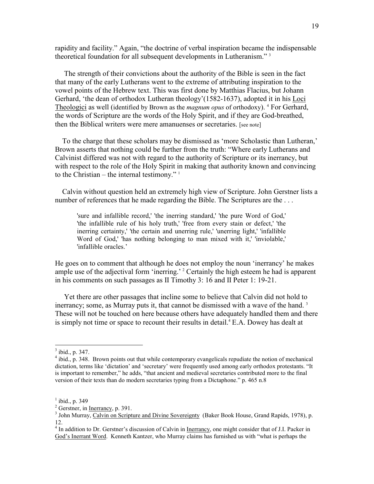rapidity and facility." Again, "the doctrine of verbal inspiration became the indispensable theoretical foundation for all subsequent developments in Lutheranism." <sup>3</sup>

 The strength of their convictions about the authority of the Bible is seen in the fact that many of the early Lutherans went to the extreme of attributing inspiration to the vowel points of the Hebrew text. This was first done by Matthias Flacius, but Johann Gerhard, 'the dean of orthodox Lutheran theology'(1582-1637), adopted it in his Loci Theologici as well (identified by Brown as the *magnum opus* of orthodoxy). <sup>4</sup> For Gerhard, the words of Scripture are the words of the Holy Spirit, and if they are God-breathed, then the Biblical writers were mere amanuenses or secretaries. [see note]

 To the charge that these scholars may be dismissed as 'more Scholastic than Lutheran,' Brown asserts that nothing could be further from the truth: "Where early Lutherans and Calvinist differed was not with regard to the authority of Scripture or its inerrancy, but with respect to the role of the Holy Spirit in making that authority known and convincing to the Christian – the internal testimony."  $\frac{1}{1}$ 

 Calvin without question held an extremely high view of Scripture. John Gerstner lists a number of references that he made regarding the Bible. The Scriptures are the ...

'sure and infallible record,' 'the inerring standard,' 'the pure Word of God,' 'the infallible rule of his holy truth,' 'free from every stain or defect,' 'the inerring certainty,' 'the certain and unerring rule,' 'unerring light,' 'infallible Word of God,' 'has nothing belonging to man mixed with it,' 'inviolable,' 'infallible oracles.'

He goes on to comment that although he does not employ the noun 'inerrancy' he makes ample use of the adjectival form 'inerring.' <sup>2</sup> Certainly the high esteem he had is apparent in his comments on such passages as II Timothy 3: 16 and II Peter 1: 19-21.

 Yet there are other passages that incline some to believe that Calvin did not hold to inerrancy; some, as Murray puts it, that cannot be dismissed with a wave of the hand.<sup>3</sup> These will not be touched on here because others have adequately handled them and there is simply not time or space to recount their results in detail.<sup>4</sup> E.A. Dowey has dealt at

 $\frac{3}{3}$  ibid., p. 347.

<sup>&</sup>lt;sup>4</sup> ibid., p. 348. Brown points out that while contemporary evangelicals repudiate the notion of mechanical dictation, terms like 'dictation' and 'secretary' were frequently used among early orthodox protestants. "It is important to remember," he adds, "that ancient and medieval secretaries contributed more to the final version of their texts than do modern secretaries typing from a Dictaphone." p. 465 n.8

 $<sup>1</sup>$  ibid., p. 349</sup>

 $2^2$  Gerstner, in <u>Inerrancy</u>, p. 391.

<sup>&</sup>lt;sup>3</sup> John Murray, Calvin on Scripture and Divine Sovereignty (Baker Book House, Grand Rapids, 1978), p. 12.

<sup>&</sup>lt;sup>4</sup> In addition to Dr. Gerstner's discussion of Calvin in Inerrancy, one might consider that of J.I. Packer in God's Inerrant Word. Kenneth Kantzer, who Murray claims has furnished us with "what is perhaps the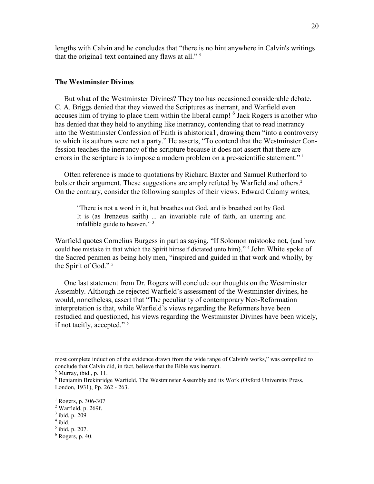lengths with Calvin and he concludes that "there is no hint anywhere in Calvin's writings that the origina1 text contained any flaws at all." <sup>5</sup>

#### **The Westminster Divines**

 But what of the Westminster Divines? They too has occasioned considerable debate. C. A. Briggs denied that they viewed the Scriptures as inerrant, and Warfield even accuses him of trying to place them within the liberal camp! <sup>6</sup> Jack Rogers is another who has denied that they held to anything like inerrancy, contending that to read inerrancy into the Westminster Confession of Faith is ahistorica1, drawing them "into a controversy to which its authors were not a party." He asserts, "To contend that the Westminster Confession teaches the inerrancy of the scripture because it does not assert that there are errors in the scripture is to impose a modern problem on a pre-scientific statement."<sup>1</sup>

 Often reference is made to quotations by Richard Baxter and Samuel Rutherford to bolster their argument. These suggestions are amply refuted by Warfield and others.<sup>2</sup> On the contrary, consider the following samples of their views. Edward Calamy writes,

"There is not a word in it, but breathes out God, and is breathed out by God. It is (as Irenaeus saith) ... an invariable rule of faith, an unerring and infallible guide to heaven." $3<sup>3</sup>$ 

Warfield quotes Cornelius Burgess in part as saying, "If Solomon mistooke not, (and how could hee mistake in that which the Spirit himself dictated unto him)." <sup>4</sup> John White spoke of the Sacred penmen as being holy men, "inspired and guided in that work and wholly, by the Spirit of God."<sup>5</sup>

 One last statement from Dr. Rogers will conclude our thoughts on the Westminster Assembly. Although he rejected Warfield's assessment of the Westminster divines, he would, nonetheless, assert that "The peculiarity of contemporary Neo-Reformation interpretation is that, while Warfield's views regarding the Reformers have been restudied and questioned, his views regarding the Westminster Divines have been widely, if not tacitly, accepted." <sup>6</sup>

 $\overline{a}$ 

 $<sup>5</sup>$  ibid, p. 207.</sup>

most complete induction of the evidence drawn from the wide range of Calvin's works," was compelled to conclude that Calvin did, in fact, believe that the Bible was inerrant.

 $<sup>5</sup>$  Murray, ibid., p. 11.</sup>

<sup>&</sup>lt;sup>6</sup> Benjamin Brekinridge Warfield, The Westminster Assembly and its Work (Oxford University Press, London, 1931), Pp. 262 - 263.

<sup>&</sup>lt;sup>1</sup> Rogers, p. 306-307

 $<sup>2</sup>$  Warfield, p. 269f.</sup>

 $3$  ibid, p. 209

 $4$  ibid.

 $6$  Rogers, p. 40.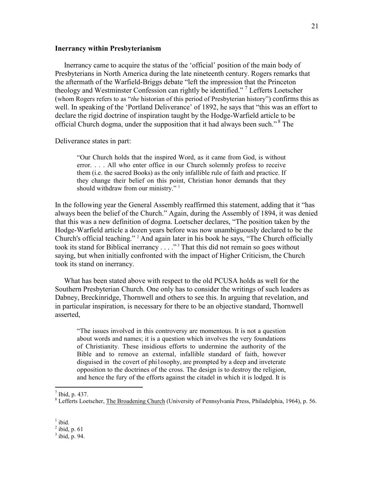#### **Inerrancy within Presbyterianism**

 Inerrancy came to acquire the status of the 'official' position of the main body of Presbyterians in North America during the late nineteenth century. Rogers remarks that the aftermath of the Warfield-Briggs debate "left the impression that the Princeton theology and Westminster Confession can rightly be identified."<sup>7</sup> Lefferts Loetscher (whom Rogers refers to as "*the* historian of this period of Presbyterian history") confirms this as well. In speaking of the 'Portland Deliverance' of 1892, he says that "this was an effort to declare the rigid doctrine of inspiration taught by the Hodge-Warfield article to be official Church dogma, under the supposition that it had always been such."<sup>8</sup> The

Deliverance states in part:

"Our Church holds that the inspired Word, as it came from God, is without error. . . . All who enter office in our Church solemnly profess to receive them (i.e. the sacred Books) as the only infallible rule of faith and practice. If they change their belief on this point, Christian honor demands that they should withdraw from our ministry."<sup>1</sup>

In the following year the General Assembly reaffirmed this statement, adding that it "has always been the belief of the Church." Again, during the Assembly of 1894, it was denied that this was a new definition of dogma. Loetscher declares, "The position taken by the Hodge-Warfield article a dozen years before was now unambiguously declared to be the Church's official teaching." <sup>2</sup> And again later in his book he says, "The Church officially took its stand for Biblical inerrancy . . . ."<sup>3</sup> That this did not remain so goes without saying, but when initially confronted with the impact of Higher Criticism, the Church took its stand on inerrancy.

 What has been stated above with respect to the old PCUSA holds as well for the Southern Presbyterian Church. One only has to consider the writings of such leaders as Dabney, Breckinridge, Thornwell and others to see this. In arguing that revelation, and in particular inspiration, is necessary for there to be an objective standard, Thornwell asserted,

"The issues involved in this controversy are momentous. It is not a question about words and names; it is a question which involves the very foundations of Christianity. These insidious efforts to undermine the authority of the Bible and to remove an external, infallible standard of faith, however disguised in the covert of phi1osophy, are prompted by a deep and inveterate opposition to the doctrines of the cross. The design is to destroy the religion, and hence the fury of the efforts against the citadel in which it is lodged. It is

 $\frac{1}{7}$  Ibid, p. 437.

<sup>&</sup>lt;sup>8</sup> Lefferts Loetscher, The Broadening Church (University of Pennsylvania Press, Philadelphia, 1964), p. 56.

 $\frac{1}{1}$  ibid.

 $<sup>2</sup>$  ibid, p. 61</sup>

 $3$  ibid, p. 94.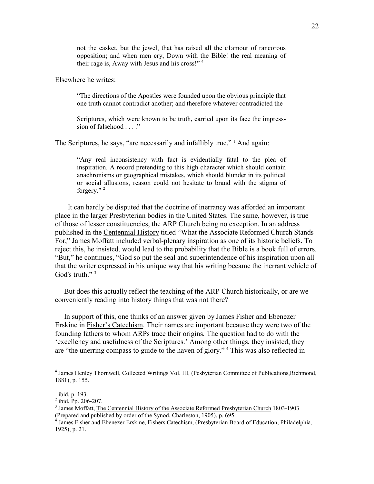not the casket, but the jewel, that has raised all the c1amour of rancorous opposition; and when men cry, Down with the Bible! the real meaning of their rage is, Away with Jesus and his cross!" <sup>4</sup>

Elsewhere he writes:

"The directions of the Apostles were founded upon the obvious principle that one truth cannot contradict another; and therefore whatever contradicted the

Scriptures, which were known to be truth, carried upon its face the impresssion of falsehood . . . ."

The Scriptures, he says, "are necessarily and infallibly true." <sup>1</sup> And again:

"Any real inconsistency with fact is evidentially fatal to the plea of inspiration. A record pretending to this high character which should contain anachronisms or geographical mistakes, which should blunder in its political or social allusions, reason could not hesitate to brand with the stigma of forgery." <sup>2</sup>

 It can hardly be disputed that the doctrine of inerrancy was afforded an important place in the larger Presbyterian bodies in the United States. The same, however, is true of those of lesser constituencies, the ARP Church being no exception. In an address published in the Centennial History titled "What the Associate Reformed Church Stands For," James Moffatt included verbal-plenary inspiration as one of its historic beliefs. To reject this, he insisted, would lead to the probability that the Bible is a book full of errors. "But," he continues, "God so put the seal and superintendence of his inspiration upon all that the writer expressed in his unique way that his writing became the inerrant vehicle of God's truth."<sup>3</sup>

 But does this actually reflect the teaching of the ARP Church historically, or are we conveniently reading into history things that was not there?

 In support of this, one thinks of an answer given by James Fisher and Ebenezer Erskine in Fisher's Catechism. Their names are important because they were two of the founding fathers to whom ARPs trace their origins*.* The question had to do with the 'excellency and usefulness of the Scriptures.' Among other things, they insisted, they are "the unerring compass to guide to the haven of glory." <sup>4</sup> This was also reflected in

 4 James Henley Thornwell, Collected Writings Vol. III, (Pesbyterian Committee of Publications,Richmond, 1881), p. 155.

 $<sup>1</sup>$  ibid, p. 193.</sup>

<sup>2</sup> ibid, Pp. 206-207.

<sup>&</sup>lt;sup>3</sup> James Moffatt, The Centennial History of the Associate Reformed Presbyterian Church 1803-1903 (Prepared and published by order of the Synod, Charleston, 1905), p. 695. 4

James Fisher and Ebenezer Erskine, Fishers Catechism, (Presbyterian Board of Education, Philadelphia, 1925), p. 21.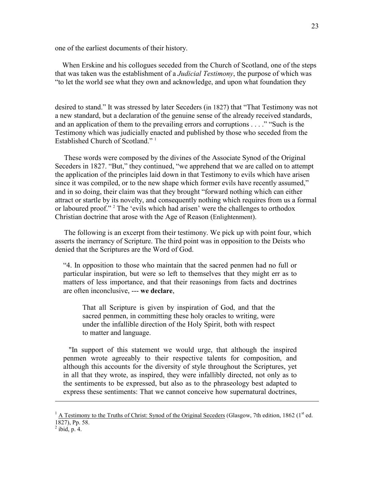one of the earliest documents of their history.

 When Erskine and his collogues seceded from the Church of Scotland, one of the steps that was taken was the establishment of a *Judicial Testimony*, the purpose of which was "to let the world see what they own and acknowledge, and upon what foundation they

desired to stand." It was stressed by later Seceders (in 1827) that "That Testimony was not a new standard, but a declaration of the genuine sense of the already received standards, and an application of them to the prevailing errors and corruptions . . . ." "Such is the Testimony which was judicially enacted and published by those who seceded from the Established Church of Scotland."<sup>1</sup>

 These words were composed by the divines of the Associate Synod of the Original Seceders in 1827. "But," they continued, "we apprehend that we are called on to attempt the application of the principles laid down in that Testimony to evils which have arisen since it was compiled, or to the new shape which former evils have recently assumed," and in so doing, their claim was that they brought "forward nothing which can either attract or startle by its novelty, and consequently nothing which requires from us a formal or laboured proof."<sup>2</sup> The 'evils which had arisen' were the challenges to orthodox Christian doctrine that arose with the Age of Reason (Enlightenment).

 The following is an excerpt from their testimony. We pick up with point four, which asserts the inerrancy of Scripture. The third point was in opposition to the Deists who denied that the Scriptures are the Word of God.

"4. In opposition to those who maintain that the sacred penmen had no full or particular inspiration, but were so left to themselves that they might err as to matters of less importance, and that their reasonings from facts and doctrines are often inconclusive, --- **we declare**,

That all Scripture is given by inspiration of God, and that the sacred penmen, in committing these holy oracles to writing, were under the infallible direction of the Holy Spirit, both with respect to matter and language.

 "In support of this statement we would urge, that although the inspired penmen wrote agreeably to their respective talents for composition, and although this accounts for the diversity of style throughout the Scriptures, yet in all that they wrote, as inspired, they were infallibly directed, not only as to the sentiments to be expressed, but also as to the phraseology best adapted to express these sentiments: That we cannot conceive how supernatural doctrines,

 $1 \text{ A}$  Testimony to the Truths of Christ: Synod of the Original Seceders (Glasgow, 7th edition, 1862 (1<sup>st</sup> ed. 1827), Pp. 58.

 $<sup>2</sup>$  ibid, p. 4.</sup>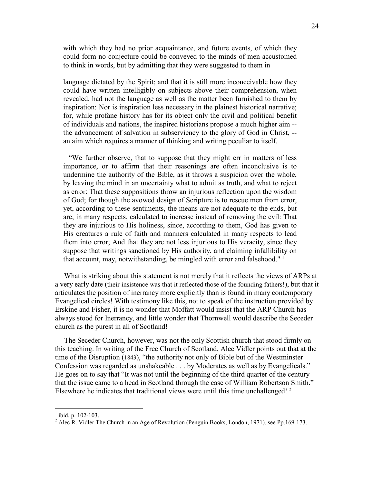with which they had no prior acquaintance, and future events, of which they could form no conjecture could be conveyed to the minds of men accustomed to think in words, but by admitting that they were suggested to them in

language dictated by the Spirit; and that it is still more inconceivable how they could have written intelligibly on subjects above their comprehension, when revealed, had not the language as well as the matter been furnished to them by inspiration: Nor is inspiration less necessary in the plainest historical narrative; for, while profane history has for its object only the civil and political benefit of individuals and nations, the inspired historians propose a much higher aim - the advancement of salvation in subserviency to the glory of God in Christ, - an aim which requires a manner of thinking and writing peculiar to itself.

 "We further observe, that to suppose that they might err in matters of less importance, or to affirm that their reasonings are often inconclusive is to undermine the authority of the Bible, as it throws a suspicion over the whole, by leaving the mind in an uncertainty what to admit as truth, and what to reject as error: That these suppositions throw an injurious reflection upon the wisdom of God; for though the avowed design of Scripture is to rescue men from error, yet, according to these sentiments, the means are not adequate to the ends, but are, in many respects, calculated to increase instead of removing the evil: That they are injurious to His holiness, since, according to them, God has given to His creatures a rule of faith and manners calculated in many respects to lead them into error; And that they are not less injurious to His veracity, since they suppose that writings sanctioned by His authority, and claiming infallibility on that account, may, notwithstanding, be mingled with error and falsehood." <sup>1</sup>

 What is striking about this statement is not merely that it reflects the views of ARPs at a very early date (their insistence was that it reflected those of the founding fathers!), but that it articulates the position of inerrancy more explicitly than is found in many contemporary Evangelical circles! With testimony like this, not to speak of the instruction provided by Erskine and Fisher, it is no wonder that Moffatt would insist that the ARP Church has always stood for Inerrancy, and little wonder that Thornwell would describe the Seceder church as the purest in all of Scotland!

 The Seceder Church, however, was not the only Scottish church that stood firmly on this teaching. In writing of the Free Church of Scotland, Alec Vidler points out that at the time of the Disruption (1843), "the authority not only of Bible but of the Westminster Confession was regarded as unshakeable . . . by Moderates as well as by Evangelicals." He goes on to say that "It was not until the beginning of the third quarter of the century that the issue came to a head in Scotland through the case of William Robertson Smith." Elsewhere he indicates that traditional views were until this time unchallenged!  $2^2$ 

 $<sup>1</sup>$  ibid, p. 102-103.</sup>

<sup>&</sup>lt;sup>2</sup> Alec R. Vidler The Church in an Age of Revolution (Penguin Books, London, 1971), see Pp.169-173.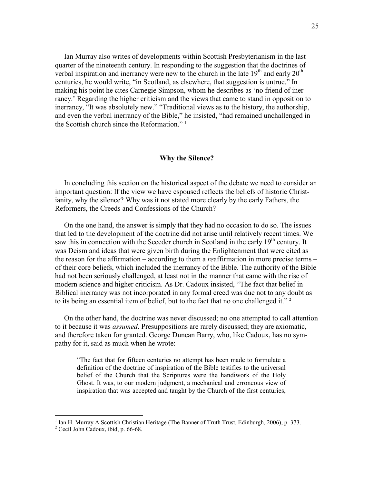Ian Murray also writes of developments within Scottish Presbyterianism in the last quarter of the nineteenth century. In responding to the suggestion that the doctrines of verbal inspiration and inerrancy were new to the church in the late  $19<sup>th</sup>$  and early  $20<sup>th</sup>$ centuries, he would write, "in Scotland, as elsewhere, that suggestion is untrue." In making his point he cites Carnegie Simpson, whom he describes as 'no friend of inerrancy.' Regarding the higher criticism and the views that came to stand in opposition to inerrancy, "It was absolutely new." "Traditional views as to the history, the authorship, and even the verbal inerrancy of the Bible," he insisted, "had remained unchallenged in the Scottish church since the Reformation." <sup>1</sup>

#### **Why the Silence?**

 In concluding this section on the historical aspect of the debate we need to consider an important question: If the view we have espoused reflects the beliefs of historic Christianity, why the silence? Why was it not stated more clearly by the early Fathers, the Reformers, the Creeds and Confessions of the Church?

 On the one hand, the answer is simply that they had no occasion to do so. The issues that led to the development of the doctrine did not arise until relatively recent times. We saw this in connection with the Seceder church in Scotland in the early  $19<sup>th</sup>$  century. It was Deism and ideas that were given birth during the Enlightenment that were cited as the reason for the affirmation – according to them a *re*affirmation in more precise terms – of their core beliefs, which included the inerrancy of the Bible. The authority of the Bible had not been seriously challenged, at least not in the manner that came with the rise of modern science and higher criticism. As Dr. Cadoux insisted, "The fact that belief in Biblical inerrancy was not incorporated in any formal creed was due not to any doubt as to its being an essential item of belief, but to the fact that no one challenged it."<sup>2</sup>

 On the other hand, the doctrine was never discussed; no one attempted to call attention to it because it was *assumed*. Presuppositions are rarely discussed; they are axiomatic, and therefore taken for granted. George Duncan Barry, who, like Cadoux, has no sympathy for it, said as much when he wrote:

"The fact that for fifteen centuries no attempt has been made to formulate a definition of the doctrine of inspiration of the Bible testifies to the universal belief of the Church that the Scriptures were the handiwork of the Holy Ghost. It was, to our modern judgment, a mechanical and erroneous view of inspiration that was accepted and taught by the Church of the first centuries,

<sup>&</sup>lt;sup>1</sup> Ian H. Murray A Scottish Christian Heritage (The Banner of Truth Trust, Edinburgh, 2006), p. 373.

<sup>&</sup>lt;sup>2</sup> Cecil John Cadoux, ibid, p. 66-68.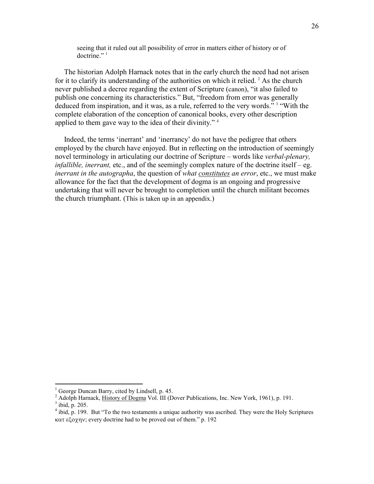seeing that it ruled out all possibility of error in matters either of history or of  $\frac{1}{2}$  doctrine."

 The historian Adolph Harnack notes that in the early church the need had not arisen for it to clarify its understanding of the authorities on which it relied.<sup>2</sup> As the church never published a decree regarding the extent of Scripture (canon), "it also failed to publish one concerning its characteristics." But, "freedom from error was generally deduced from inspiration, and it was, as a rule, referred to the very words."<sup>3</sup> "With the complete elaboration of the conception of canonical books, every other description applied to them gave way to the idea of their divinity." <sup>4</sup>

 Indeed, the terms 'inerrant' and 'inerrancy' do not have the pedigree that others employed by the church have enjoyed. But in reflecting on the introduction of seemingly novel terminology in articulating our doctrine of Scripture – words like *verbal-plenary, infallible, inerrant, etc., and of the seemingly complex nature of the doctrine itself – eg. inerrant in the autographa*, the question of *what constitutes an error*, etc., we must make allowance for the fact that the development of dogma is an ongoing and progressive undertaking that will never be brought to completion until the church militant becomes the church triumphant. (This is taken up in an appendix.)

<sup>1</sup> George Duncan Barry, cited by Lindsell, p. 45.

<sup>&</sup>lt;sup>2</sup> Adolph Harnack, *History of Dogma Vol. III* (Dover Publications, Inc. New York, 1961), p. 191.

 $3$  ibid, p. 205.

<sup>&</sup>lt;sup>4</sup> ibid, p. 199. But "To the two testaments a unique authority was ascribed. They were the Holy Scriptures κατ εξοχην; every doctrine had to be proved out of them." p. 192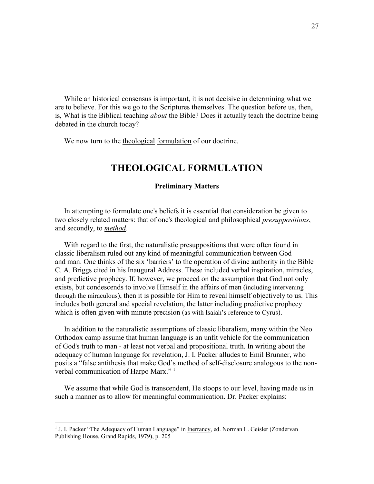While an historical consensus is important, it is not decisive in determining what we are to believe. For this we go to the Scriptures themselves. The question before us, then, is, What is the Biblical teaching *about* the Bible? Does it actually teach the doctrine being debated in the church today?

\_\_\_\_\_\_\_\_\_\_\_\_\_\_\_\_\_\_\_\_\_\_\_\_\_\_\_\_\_\_\_\_\_\_\_\_\_\_

We now turn to the theological formulation of our doctrine.

## **THEOLOGICAL FORMULATION**

#### **Preliminary Matters**

 In attempting to formulate one's beliefs it is essential that consideration be given to two closely related matters: that of one's theological and philosophical *presuppositions*, and secondly, to *method*.

 With regard to the first, the naturalistic presuppositions that were often found in classic liberalism ruled out any kind of meaningful communication between God and man. One thinks of the six 'barriers' to the operation of divine authority in the Bible C. A. Briggs cited in his Inaugural Address. These included verbal inspiration, miracles, and predictive prophecy. If, however, we proceed on the assumption that God not only exists, but condescends to involve Himself in the affairs of men (including intervening through the miraculous), then it is possible for Him to reveal himself objectively to us. This includes both general and special revelation, the latter including predictive prophecy which is often given with minute precision (as with Isaiah's reference to Cyrus).

 In addition to the naturalistic assumptions of classic liberalism, many within the Neo Orthodox camp assume that human language is an unfit vehicle for the communication of God's truth to man - at least not verbal and propositional truth. In writing about the adequacy of human language for revelation, J. I. Packer alludes to Emil Brunner, who posits a "false antithesis that make God's method of self-disclosure analogous to the nonverbal communication of Harpo Marx."<sup>1</sup>

 We assume that while God is transcendent, He stoops to our level, having made us in such a manner as to allow for meaningful communication. Dr. Packer explains:

<sup>&</sup>lt;sup>1</sup> J. I. Packer "The Adequacy of Human Language" in <u>Inerrancy</u>, ed. Norman L. Geisler (Zondervan Publishing House, Grand Rapids, 1979), p. 205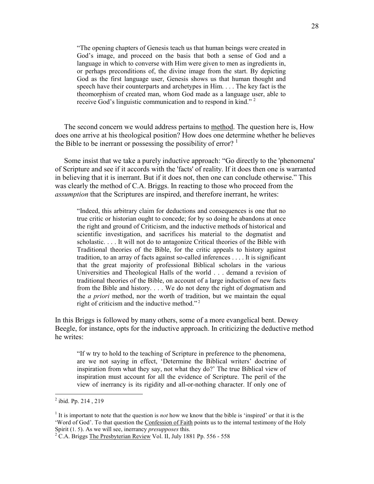"The opening chapters of Genesis teach us that human beings were created in God's image, and proceed on the basis that both a sense of God and a language in which to converse with Him were given to men as ingredients in, or perhaps preconditions of, the divine image from the start. By depicting God as the first language user, Genesis shows us that human thought and speech have their counterparts and archetypes in Him. . . . The key fact is the theomorphism of created man, whom God made as a language user, able to receive God's linguistic communication and to respond in kind."<sup>2</sup>

 The second concern we would address pertains to method. The question here is, How does one arrive at his theological position? How does one determine whether he believes the Bible to be inerrant or possessing the possibility of error?  $1$ 

 Some insist that we take a purely inductive approach: "Go directly to the 'phenomena' of Scripture and see if it accords with the 'facts' of reality. If it does then one is warranted in believing that it is inerrant. But if it does not, then one can conclude otherwise." This was clearly the method of C.A. Briggs. In reacting to those who proceed from the *assumption* that the Scriptures are inspired, and therefore inerrant, he writes:

"Indeed, this arbitrary claim for deductions and consequences is one that no true critic or historian ought to concede; for by so doing he abandons at once the right and ground of Criticism, and the inductive methods of historical and scientific investigation, and sacrifices his material to the dogmatist and scholastic. . . . It will not do to antagonize Critical theories of the Bible with Traditional theories of the Bible, for the critic appeals to history against tradition, to an array of facts against so-called inferences . . . . It is significant that the great majority of professional Biblical scholars in the various Universities and Theological Halls of the world . . . demand a revision of traditional theories of the Bible, on account of a large induction of new facts from the Bible and history. . . . We do not deny the right of dogmatism and the *a priori* method, nor the worth of tradition, but we maintain the equal right of criticism and the inductive method."<sup>2</sup>

In this Briggs is followed by many others, some of a more evangelical bent. Dewey Beegle, for instance, opts for the inductive approach. In criticizing the deductive method he writes:

"If w try to hold to the teaching of Scripture in preference to the phenomena, are we not saying in effect, 'Determine the Biblical writers' doctrine of inspiration from what they say, not what they do?' The true Biblical view of inspiration must account for all the evidence of Scripture. The peril of the view of inerrancy is its rigidity and all-or-nothing character. If only one of

 2 ibid. Pp. 214 , 219

<sup>&</sup>lt;sup>1</sup> It is important to note that the question is *not* how we know that the bible is 'inspired' or that it is the 'Word of God'. To that question the Confession of Faith points us to the internal testimony of the Holy Spirit (1. 5). As we will see, inerrancy *presupposes* this.<br><sup>2</sup> C A. Briggs The Presbyterian Bayjaw Vol. II, July 188

C.A. Briggs The Presbyterian Review Vol. II, July 1881 Pp. 556 - 558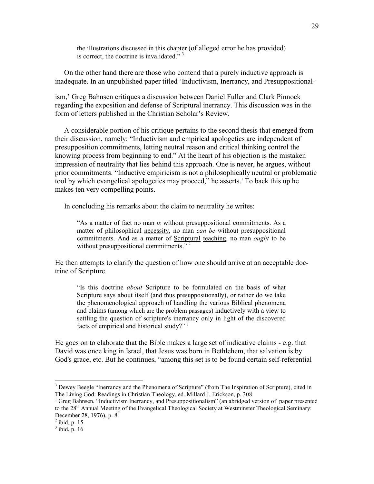the illustrations discussed in this chapter (of alleged error he has provided) is correct, the doctrine is invalidated." $3$ 

 On the other hand there are those who contend that a purely inductive approach is inadequate. In an unpublished paper titled 'Inductivism, Inerrancy, and Presuppositional-

ism,' Greg Bahnsen critiques a discussion between Daniel Fuller and Clark Pinnock regarding the exposition and defense of Scriptural inerrancy. This discussion was in the form of letters published in the Christian Scholar's Review.

 A considerable portion of his critique pertains to the second thesis that emerged from their discussion, namely: "Inductivism and empirical apologetics are independent of presupposition commitments, letting neutral reason and critical thinking control the knowing process from beginning to end." At the heart of his objection is the mistaken impression of neutrality that lies behind this approach. One is never, he argues, without prior commitments. "Inductive empiricism is not a philosophically neutral or problematic tool by which evangelical apologetics may proceed," he asserts.<sup>1</sup> To back this up he makes ten very compelling points.

In concluding his remarks about the claim to neutrality he writes:

"As a matter of fact no man *is* without presuppositional commitments. As a matter of philosophical necessity, no man *can be* without presuppositional commitments. And as a matter of Scriptural teaching, no man *ought* to be without presuppositional commitments. $\frac{1}{2}$ 

He then attempts to clarify the question of how one should arrive at an acceptable doctrine of Scripture.

"Is this doctrine *about* Scripture to be formulated on the basis of what Scripture says about itself (and thus presuppositionally), or rather do we take the phenomenological approach of handling the various Biblical phenomena and claims (among which are the problem passages) inductively with a view to settling the question of scripture's inerrancy only in light of the discovered facts of empirical and historical study?"<sup>3</sup>

He goes on to elaborate that the Bible makes a large set of indicative claims - e.g. that David was once king in Israel, that Jesus was born in Bethlehem, that salvation is by God's grace, etc. But he continues, "among this set is to be found certain self-referential

<sup>&</sup>lt;sup>3</sup> Dewey Beegle "Inerrancy and the Phenomena of Scripture" (from The Inspiration of Scripture), cited in The Living God: Readings in Christian Theology, ed. Millard J. Erickson, p. 308

<sup>&</sup>lt;sup>1</sup> Greg Bahnsen, "Inductivism Inerrancy, and Presuppositionalism" (an abridged version of paper presented to the  $28<sup>th</sup>$  Annual Meeting of the Evangelical Theological Society at Westminster Theological Seminary: December 28, 1976), p. 8

 $<sup>2</sup>$  ibid, p. 15</sup>

 $3$  ibid, p. 16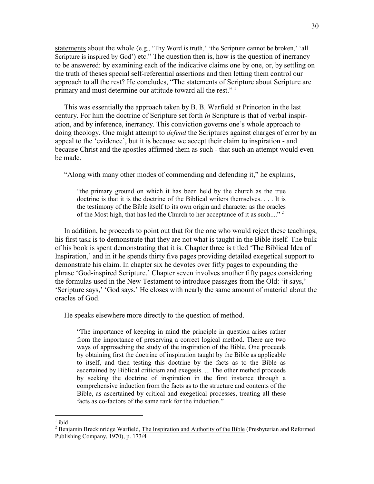statements about the whole (e.g., 'Thy Word is truth,' 'the Scripture cannot be broken,' 'all Scripture is inspired by God') etc." The question then is, how is the question of inerrancy to be answered: by examining each of the indicative claims one by one, or, by settling on the truth of theses special self-referential assertions and then letting them control our approach to all the rest? He concludes, "The statements of Scripture about Scripture are primary and must determine our attitude toward all the rest." <sup>1</sup>

 This was essentially the approach taken by B. B. Warfield at Princeton in the last century. For him the doctrine of Scripture set forth *in* Scripture is that of verbal inspiration, and by inference, inerrancy. This conviction governs one's whole approach to doing theology. One might attempt to *defend* the Scriptures against charges of error by an appeal to the 'evidence', but it is because we accept their claim to inspiration - and because Christ and the apostles affirmed them as such - that such an attempt would even be made.

"Along with many other modes of commending and defending it," he explains,

"the primary ground on which it has been held by the church as the true doctrine is that it is the doctrine of the Biblical writers themselves. . . . It is the testimony of the Bible itself to its own origin and character as the oracles of the Most high, that has led the Church to her acceptance of it as such...."<sup>2</sup>

 In addition, he proceeds to point out that for the one who would reject these teachings, his first task is to demonstrate that they are not what is taught in the Bible itself. The bulk of his book is spent demonstrating that it is. Chapter three is titled 'The Biblical Idea of Inspiration,' and in it he spends thirty five pages providing detailed exegetical support to demonstrate his claim. In chapter six he devotes over fifty pages to expounding the phrase 'God-inspired Scripture.' Chapter seven involves another fifty pages considering the formulas used in the New Testament to introduce passages from the Old: 'it says,' 'Scripture says,' 'God says.' He closes with nearly the same amount of material about the oracles of God.

He speaks elsewhere more directly to the question of method.

"The importance of keeping in mind the principle in question arises rather from the importance of preserving a correct logical method. There are two ways of approaching the study of the inspiration of the Bible. One proceeds by obtaining first the doctrine of inspiration taught by the Bible as applicable to itself, and then testing this doctrine by the facts as to the Bible as ascertained by Biblical criticism and exegesis. ... The other method proceeds by seeking the doctrine of inspiration in the first instance through a comprehensive induction from the facts as to the structure and contents of the Bible, as ascertained by critical and exegetical processes, treating all these facts as co-factors of the same rank for the induction."

 $\frac{1}{1}$ ibid

<sup>&</sup>lt;sup>2</sup> Benjamin Breckinridge Warfield, The Inspiration and Authority of the Bible (Presbyterian and Reformed Publishing Company, 1970), p. 173/4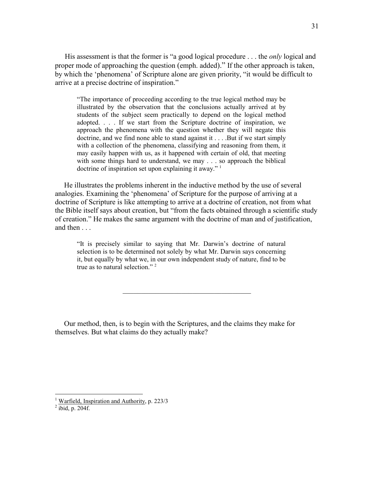His assessment is that the former is "a good logical procedure . . . the *only* logical and proper mode of approaching the question (emph. added)." If the other approach is taken, by which the 'phenomena' of Scripture alone are given priority, "it would be difficult to arrive at a precise doctrine of inspiration."

"The importance of proceeding according to the true logical method may be illustrated by the observation that the conclusions actually arrived at by students of the subject seem practically to depend on the logical method adopted. . . . If we start from the Scripture doctrine of inspiration, we approach the phenomena with the question whether they will negate this doctrine, and we find none able to stand against it . . . .But if we start simply with a collection of the phenomena, classifying and reasoning from them, it may easily happen with us, as it happened with certain of old, that meeting with some things hard to understand, we may . . . so approach the biblical doctrine of inspiration set upon explaining it away."  $1$ 

 He illustrates the problems inherent in the inductive method by the use of several analogies. Examining the 'phenomena' of Scripture for the purpose of arriving at a doctrine of Scripture is like attempting to arrive at a doctrine of creation, not from what the Bible itself says about creation, but "from the facts obtained through a scientific study of creation." He makes the same argument with the doctrine of man and of justification, and then . . .

"It is precisely similar to saying that Mr. Darwin's doctrine of natural selection is to be determined not solely by what Mr. Darwin says concerning it, but equally by what we, in our own independent study of nature, find to be true as to natural selection."<sup>2</sup>

\_\_\_\_\_\_\_\_\_\_\_\_\_\_\_\_\_\_\_\_\_\_\_\_\_\_\_\_\_\_\_\_\_\_\_

 Our method, then, is to begin with the Scriptures, and the claims they make for themselves. But what claims do they actually make?

 1 Warfield, Inspiration and Authority, p. 223/3

 $<sup>2</sup>$  ibid, p. 204f.</sup>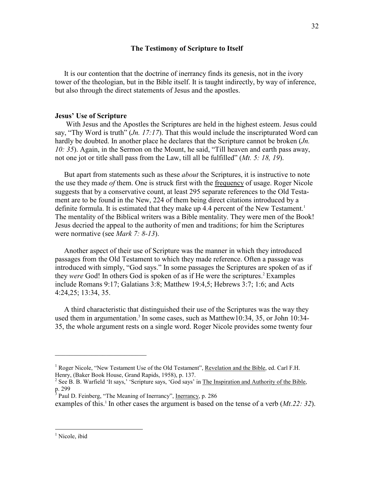#### **The Testimony of Scripture to Itself**

 It is our contention that the doctrine of inerrancy finds its genesis, not in the ivory tower of the theologian, but in the Bible itself. It is taught indirectly, by way of inference, but also through the direct statements of Jesus and the apostles.

#### **Jesus' Use of Scripture**

 With Jesus and the Apostles the Scriptures are held in the highest esteem. Jesus could say, "Thy Word is truth" (*Jn. 17:17*). That this would include the inscripturated Word can hardly be doubted. In another place he declares that the Scripture cannot be broken (*Jn. 10: 35*). Again, in the Sermon on the Mount, he said, "Till heaven and earth pass away, not one jot or title shall pass from the Law, till all be fulfilled" (*Mt. 5: 18, 19*).

 But apart from statements such as these *about* the Scriptures, it is instructive to note the use they made *of* them. One is struck first with the frequency of usage. Roger Nicole suggests that by a conservative count, at least 295 separate references to the Old Testament are to be found in the New, 224 of them being direct citations introduced by a definite formula. It is estimated that they make up 4.4 percent of the New Testament.<sup>1</sup> The mentality of the Biblical writers was a Bible mentality. They were men of the Book! Jesus decried the appeal to the authority of men and traditions; for him the Scriptures were normative (see *Mark 7: 8-13*).

 Another aspect of their use of Scripture was the manner in which they introduced passages from the Old Testament to which they made reference. Often a passage was introduced with simply, "God says." In some passages the Scriptures are spoken of as if they *were* God! In others God is spoken of as if He were the scriptures.<sup>2</sup> Examples include Romans 9:17; Galatians 3:8; Matthew 19:4,5; Hebrews 3:7; 1:6; and Acts 4:24,25; 13:34, 35.

 A third characteristic that distinguished their use of the Scriptures was the way they used them in argumentation.<sup>3</sup> In some cases, such as Matthew10:34, 35, or John 10:34-35, the whole argument rests on a single word. Roger Nicole provides some twenty four

 $\overline{\phantom{a}}$  , where  $\overline{\phantom{a}}$  , where  $\overline{\phantom{a}}$  , where  $\overline{\phantom{a}}$ 

<sup>&</sup>lt;sup>1</sup> Roger Nicole, "New Testament Use of the Old Testament", Revelation and the Bible, ed. Carl F.H. Henry, (Baker Book House, Grand Rapids, 1958), p. 137.

<sup>&</sup>lt;sup>2</sup> See B. B. Warfield 'It says,' 'Scripture says, 'God says' in The Inspiration and Authority of the Bible, p. 299<br><sup>3</sup> Paul D. Feinberg, "The Meaning of Inerrancy", <u>Inerrancy</u>, p. 286

examples of this.<sup>1</sup> In other cases the argument is based on the tense of a verb (*Mt.22: 32*).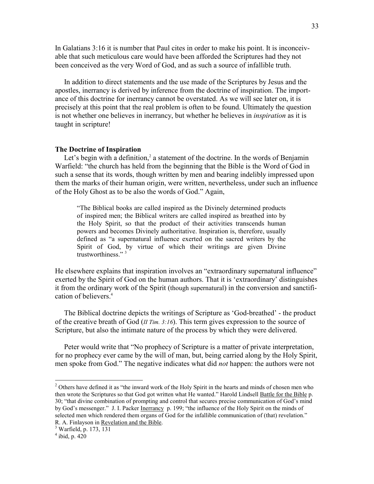In Galatians 3:16 it is number that Paul cites in order to make his point. It is inconceivable that such meticulous care would have been afforded the Scriptures had they not been conceived as the very Word of God, and as such a source of infallible truth.

 In addition to direct statements and the use made of the Scriptures by Jesus and the apostles, inerrancy is derived by inference from the doctrine of inspiration. The importance of this doctrine for inerrancy cannot be overstated. As we will see later on, it is precisely at this point that the real problem is often to be found. Ultimately the question is not whether one believes in inerrancy, but whether he believes in *inspiration* as it is taught in scripture!

#### **The Doctrine of Inspiration**

Let's begin with a definition, $2$  a statement of the doctrine. In the words of Benjamin Warfield: "the church has held from the beginning that the Bible is the Word of God in such a sense that its words, though written by men and bearing indelibly impressed upon them the marks of their human origin, were written, nevertheless, under such an influence of the Holy Ghost as to be also the words of God." Again,

"The Biblical books are called inspired as the Divinely determined products of inspired men; the Biblical writers are called inspired as breathed into by the Holy Spirit, so that the product of their activities transcends human powers and becomes Divinely authoritative. Inspiration is, therefore, usually defined as "a supernatural influence exerted on the sacred writers by the Spirit of God, by virtue of which their writings are given Divine trustworthiness." <sup>3</sup>

He elsewhere explains that inspiration involves an "extraordinary supernatural influence" exerted by the Spirit of God on the human authors. That it is 'extraordinary' distinguishes it from the ordinary work of the Spirit (though supernatural) in the conversion and sanctification of believers.<sup>4</sup>

 The Biblical doctrine depicts the writings of Scripture as 'God-breathed' - the product of the creative breath of God (*II Tim. 3:16*). This term gives expression to the source of Scripture, but also the intimate nature of the process by which they were delivered.

 Peter would write that "No prophecy of Scripture is a matter of private interpretation, for no prophecy ever came by the will of man, but, being carried along by the Holy Spirit, men spoke from God." The negative indicates what did *not* happen: the authors were not

<sup>&</sup>lt;sup>2</sup> Others have defined it as "the inward work of the Holy Spirit in the hearts and minds of chosen men who then wrote the Scriptures so that God got written what He wanted." Harold Lindsell Battle for the Bible p. 30; "that divine combination of prompting and control that secures precise communication of God's mind by God's messenger." J. I. Packer Inerrancy p. 199; "the influence of the Holy Spirit on the minds of selected men which rendered them organs of God for the infallible communication of (that) revelation." R. A. Finlayson in Revelation and the Bible.

<sup>3</sup> Warfield, p. 173, 131

 $4$  ibid, p. 420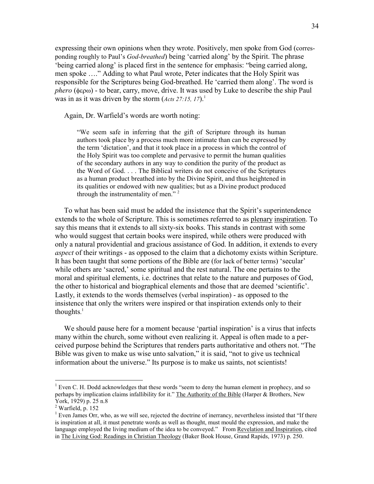expressing their own opinions when they wrote. Positively, men spoke from God (corresponding roughly to Paul's *God-breathed*) being 'carried along' by the Spirit. The phrase 'being carried along' is placed first in the sentence for emphasis: "being carried along, men spoke …." Adding to what Paul wrote, Peter indicates that the Holy Spirit was responsible for the Scriptures being God-breathed. He 'carried them along'. The word is *phero* (φερω) - to bear, carry, move, drive. It was used by Luke to describe the ship Paul was in as it was driven by the storm (*Acts 27:15, 17*).<sup>1</sup>

Again, Dr. Warfield's words are worth noting:

"We seem safe in inferring that the gift of Scripture through its human authors took place by a process much more intimate than can be expressed by the term 'dictation', and that it took place in a process in which the control of the Holy Spirit was too complete and pervasive to permit the human qualities of the secondary authors in any way to condition the purity of the product as the Word of God. . . . The Biblical writers do not conceive of the Scriptures as a human product breathed into by the Divine Spirit, and thus heightened in its qualities or endowed with new qualities; but as a Divine product produced through the instrumentality of men."<sup>2</sup>

 To what has been said must be added the insistence that the Spirit's superintendence extends to the whole of Scripture. This is sometimes referred to as plenary inspiration. To say this means that it extends to all sixty-six books. This stands in contrast with some who would suggest that certain books were inspired, while others were produced with only a natural providential and gracious assistance of God. In addition, it extends to every *aspect* of their writings - as opposed to the claim that a dichotomy exists within Scripture. It has been taught that some portions of the Bible are (for lack of better terms) 'secular' while others are 'sacred,' some spiritual and the rest natural. The one pertains to the moral and spiritual elements, i.e. doctrines that relate to the nature and purposes of God, the other to historical and biographical elements and those that are deemed 'scientific'. Lastly, it extends to the words themselves (verbal inspiration) - as opposed to the insistence that only the writers were inspired or that inspiration extends only to their thoughts. 1

 We should pause here for a moment because 'partial inspiration' is a virus that infects many within the church, some without even realizing it. Appeal is often made to a perceived purpose behind the Scriptures that renders parts authoritative and others not. "The Bible was given to make us wise unto salvation," it is said, "not to give us technical information about the universe." Its purpose is to make us saints, not scientists!

<sup>&</sup>lt;sup>1</sup> Even C. H. Dodd acknowledges that these words "seem to deny the human element in prophecy, and so perhaps by implication claims infallibility for it." The Authority of the Bible (Harper & Brothers, New York, 1929) p. 25 n.8

 $<sup>2</sup>$  Warfield, p. 152</sup>

<sup>&</sup>lt;sup>1</sup> Even James Orr, who, as we will see, rejected the doctrine of inerrancy, nevertheless insisted that "If there is inspiration at all, it must penetrate words as well as thought, must mould the expression, and make the language employed the living medium of the idea to be conveyed." From Revelation and Inspiration, cited in The Living God: Readings in Christian Theology (Baker Book House, Grand Rapids, 1973) p. 250.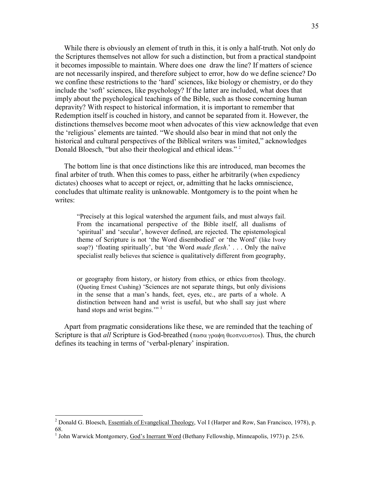While there is obviously an element of truth in this, it is only a half-truth. Not only do the Scriptures themselves not allow for such a distinction, but from a practical standpoint it becomes impossible to maintain. Where does one draw the line? If matters of science are not necessarily inspired, and therefore subject to error, how do we define science? Do we confine these restrictions to the 'hard' sciences, like biology or chemistry, or do they include the 'soft' sciences, like psychology? If the latter are included, what does that imply about the psychological teachings of the Bible, such as those concerning human depravity? With respect to historical information, it is important to remember that Redemption itself is couched in history, and cannot be separated from it. However, the distinctions themselves become moot when advocates of this view acknowledge that even the 'religious' elements are tainted. "We should also bear in mind that not only the historical and cultural perspectives of the Biblical writers was limited," acknowledges Donald Bloesch, "but also their theological and ethical ideas." <sup>2</sup>

 The bottom line is that once distinctions like this are introduced, man becomes the final arbiter of truth. When this comes to pass, either he arbitrarily (when expediency dictates) chooses what to accept or reject, or, admitting that he lacks omniscience, concludes that ultimate reality is unknowable. Montgomery is to the point when he writes:

"Precisely at this logical watershed the argument fails, and must always fail. From the incarnational perspective of the Bible itself, all dualisms of 'spiritual' and 'secular', however defined, are rejected. The epistemological theme of Scripture is not 'the Word disembodied' or 'the Word' (like Ivory soap?) 'floating spiritually', but 'the Word *made flesh*.' . . . Only the naïve specialist really believes that science is qualitatively different from geography,

or geography from history, or history from ethics, or ethics from theology. (Quoting Ernest Cushing) 'Sciences are not separate things, but only divisions in the sense that a man's hands, feet, eyes, etc., are parts of a whole. A distinction between hand and wrist is useful, but who shall say just where hand stops and wrist begins."<sup>1</sup>

 Apart from pragmatic considerations like these, we are reminded that the teaching of Scripture is that *all* Scripture is God-breathed (πασα γραφη θεοπνευστοs). Thus, the church defines its teaching in terms of 'verbal-plenary' inspiration.

<sup>&</sup>lt;sup>2</sup> Donald G. Bloesch, Essentials of Evangelical Theology, Vol I (Harper and Row, San Francisco, 1978), p. 68.

<sup>&</sup>lt;sup>1</sup> John Warwick Montgomery, God's Inerrant Word (Bethany Fellowship, Minneapolis, 1973) p. 25/6.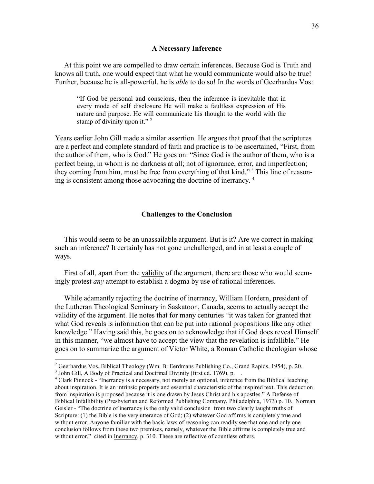#### **A Necessary Inference**

 At this point we are compelled to draw certain inferences. Because God is Truth and knows all truth, one would expect that what he would communicate would also be true! Further, because he is all-powerful, he is *able* to do so! In the words of Geerhardus Vos:

"If God be personal and conscious, then the inference is inevitable that in every mode of self disclosure He will make a faultless expression of His nature and purpose. He will communicate his thought to the world with the stamp of divinity upon it."<sup>2</sup>

Years earlier John Gill made a similar assertion. He argues that proof that the scriptures are a perfect and complete standard of faith and practice is to be ascertained, "First, from the author of them, who is God." He goes on: "Since God is the author of them, who is a perfect being, in whom is no darkness at all; not of ignorance, error, and imperfection; they coming from him, must be free from everything of that kind."<sup>3</sup> This line of reasoning is consistent among those advocating the doctrine of inerrancy. <sup>4</sup>

#### **Challenges to the Conclusion**

 This would seem to be an unassailable argument. But is it? Are we correct in making such an inference? It certainly has not gone unchallenged, and in at least a couple of ways.

 First of all, apart from the validity of the argument, there are those who would seemingly protest *any* attempt to establish a dogma by use of rational inferences.

 While adamantly rejecting the doctrine of inerrancy, William Hordern, president of the Lutheran Theological Seminary in Saskatoon, Canada, seems to actually accept the validity of the argument. He notes that for many centuries "it was taken for granted that what God reveals is information that can be put into rational propositions like any other knowledge." Having said this, he goes on to acknowledge that if God does reveal Himself in this manner, "we almost have to accept the view that the revelation is infallible." He goes on to summarize the argument of Victor White, a Roman Catholic theologian whose

<sup>&</sup>lt;sup>2</sup> Geerhardus Vos, <u>Biblical Theology</u> (Wm. B. Eerdmans Publishing Co., Grand Rapids, 1954), p. 20.

<sup>&</sup>lt;sup>3</sup> John Gill,  $\overline{A}$  Body of Practical and Doctrinal Divinity (first ed. 1769), p.

<sup>&</sup>lt;sup>4</sup> Clark Pinnock - "Inerrancy is a necessary, not merely an optional, inference from the Biblical teaching about inspiration. It is an intrinsic property and essential characteristic of the inspired text. This deduction from inspiration is proposed because it is one drawn by Jesus Christ and his apostles." A Defense of Biblical Infallibility (Presbyterian and Reformed Publishing Company, Philadelphia, 1973) p. 10. Norman Geisler - "The doctrine of inerrancy is the only valid conclusion from two clearly taught truths of Scripture: (1) the Bible is the very utterance of God; (2) whatever God affirms is completely true and without error. Anyone familiar with the basic laws of reasoning can readily see that one and only one conclusion follows from these two premises, namely, whatever the Bible affirms is completely true and without error." cited in **Inerrancy**, p. 310. These are reflective of countless others.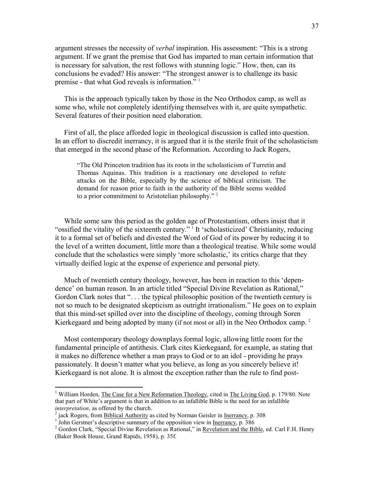argument stresses the necessity of *verbal* inspiration. His assessment: "This is a strong argument. If we grant the premise that God has imparted to man certain information that is necessary for salvation, the rest follows with stunning logic." How, then, can its conclusions be evaded? His answer: "The strongest answer is to challenge its basic premise - that what God reveals is information." <sup>1</sup>

 This is the approach typically taken by those in the Neo Orthodox camp, as well as some who, while not completely identifying themselves with it, are quite sympathetic. Several features of their position need elaboration.

 First of all, the place afforded logic in theological discussion is called into question. In an effort to discredit inerrancy, it is argued that it is the sterile fruit of the scholasticism that emerged in the second phase of the Reformation. According to Jack Rogers,

"The Old Princeton tradition has its roots in the scholasticism of Turretin and Thomas Aquinas. This tradition is a reactionary one developed to refute attacks on the Bible, especially by the science of biblical criticism. The demand for reason prior to faith in the authority of the Bible seems wedded to a prior commitment to Aristotelian philosophy."<sup>2</sup>

 While some saw this period as the golden age of Protestantism, others insist that it "ossified the vitality of the sixteenth century."<sup>1</sup> It 'scholasticized' Christianity, reducing it to a formal set of beliefs and divested the Word of God of its power by reducing it to the level of a written document, little more than a theological treatise. While some would conclude that the scholastics were simply 'more scholastic,' its critics charge that they virtually deified logic at the expense of experience and personal piety.

 Much of twentieth century theology, however, has been in reaction to this 'dependence' on human reason. In an article titled "Special Divine Revelation as Rational," Gordon Clark notes that "... the typical philosophic position of the twentieth century is not so much to be designated skepticism as outright irrationalism." He goes on to explain that this mind-set spilled over into the discipline of theology, coming through Soren Kierkegaard and being adopted by many (if not most or all) in the Neo Orthodox camp.<sup>2</sup>

 Most contemporary theology downplays formal logic, allowing little room for the fundamental principle of antithesis. Clark cites Kierkegaard, for example, as stating that it makes no difference whether a man prays to God or to an idol - providing he prays passionately. It doesn't matter what you believe, as long as you sincerely believe it! Kierkegaard is not alone. It is almost the exception rather than the rule to find post-

<sup>&</sup>lt;sup>1</sup> William Horden, The Case for a New Reformation Theology, cited in The Living God, p. 179/80. Note that part of White's argument is that in addition to an infallible Bible is the need for an infallible *interpretation*, as offered by the church.

<sup>&</sup>lt;sup>2</sup> jack Rogers, from <u>Biblical Authority</u> as cited by Norman Geisler in <u>Inerrancy</u>, p. 308<br><sup>1</sup> John Gerstner's descriptive summary of the opposition view in <u>Inerrancy</u>, p. 386

<sup>&</sup>lt;sup>2</sup> Gordon Clark, "Special Divine Revelation as Rational," in Revelation and the Bible, ed. Carl F.H. Henry (Baker Book House, Grand Rapids, 1958), p. 35f.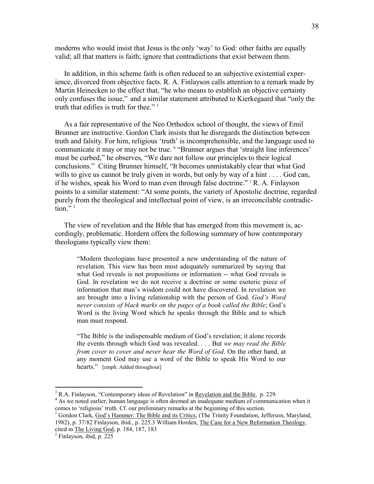moderns who would insist that Jesus is the only 'way' to God: other faiths are equally valid; all that matters is faith; ignore that contradictions that exist between them.

 In addition, in this scheme faith is often reduced to an subjective existential experience, divorced from objective facts. R. A. Finlayson calls attention to a remark made by Martin Heinecken to the effect that, "he who means to establish an objective certainty only confuses the issue," and a similar statement attributed to Kierkegaard that "only the truth that edifies is truth for thee."<sup>3</sup>

 As a fair representative of the Neo Orthodox school of thought, the views of Emil Brunner are instructive. Gordon Clark insists that he disregards the distinction between truth and falsity. For him, religious 'truth' is incomprehensible, and the language used to communicate it may or may not be true. <sup>4</sup> "Brunner argues that 'straight line inferences' must be curbed," he observes, "We dare not follow our principles to their logical conclusions." Citing Brunner himself, "It becomes unmistakably clear that what God wills to give us cannot be truly given in words, but only by way of a hint . . . . God can, if he wishes, speak his Word to man even through false doctrine."  $R$ . A. Finlayson points to a similar statement: "At some points, the variety of Apostolic doctrine, regarded purely from the theological and intellectual point of view, is an irreconcilable contradiction." $2$ 

 The view of revelation and the Bible that has emerged from this movement is, accordingly, problematic. Hordern offers the following summary of how contemporary theologians typically view them:

"Modern theologians have presented a new understanding of the nature of revelation. This view has been most adequately summarized by saying that what God reveals is not propositions or information -- what God reveals is God. In revelation we do not receive a doctrine or some esoteric piece of information that man's wisdom could not have discovered. In revelation we are brought into a living relationship with the person of God. *God's Word never consists of black marks on the pages of a book called the Bible*; God's Word is the living Word which he speaks through the Bible and to which man must respond.

"The Bible is the indispensable medium of God's revelation; it alone records the events through which God was revealed. . . . But *we may read the Bible from cover to cover and never hear the Word of God*. On the other hand, at any moment God may use a word of the Bible to speak His Word to our hearts." [emph. Added throughout]

<sup>&</sup>lt;sup>3</sup> R.A. Finlayson, "Contemporary ideas of Revelation" in <u>Revelation and the Bible</u>, p. 229.

<sup>&</sup>lt;sup>4</sup> As we noted earlier, human language is often deemed an inadequate medium of communication when it comes to 'religious' truth. Cf. our preliminary remarks at the beginning of this section.

<sup>&</sup>lt;sup>1</sup> Gordon Clark, God's Hammer: The Bible and its Critics, (The Trinity Foundation, Jefferson, Maryland, 1982), p. 37/82 Finlayson, ibid., p. 225.3 William Horden, The Case for a New Reformation Theology, cited in The Living God, p. 184, 187, 183

<sup>2</sup> Finlayson, ibid, p. 225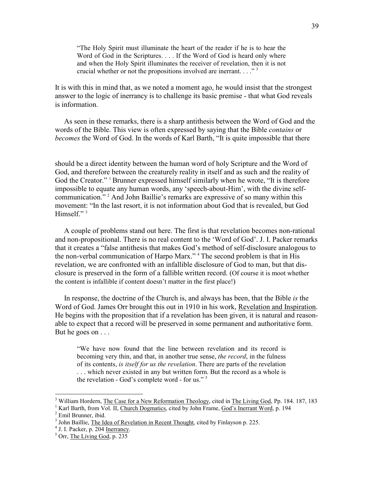"The Holy Spirit must illuminate the heart of the reader if he is to hear the Word of God in the Scriptures. . . . If the Word of God is heard only where and when the Holy Spirit illuminates the receiver of revelation, then it is not crucial whether or not the propositions involved are inerrant.  $\ldots$ <sup>3</sup>

It is with this in mind that, as we noted a moment ago, he would insist that the strongest answer to the logic of inerrancy is to challenge its basic premise - that what God reveals is information.

 As seen in these remarks, there is a sharp antithesis between the Word of God and the words of the Bible. This view is often expressed by saying that the Bible *contains* or *becomes* the Word of God. In the words of Karl Barth, "It is quite impossible that there

should be a direct identity between the human word of holy Scripture and the Word of God, and therefore between the creaturely reality in itself and as such and the reality of God the Creator."<sup>1</sup> Brunner expressed himself similarly when he wrote, "It is therefore impossible to equate any human words, any 'speech-about-Him', with the divine selfcommunication." <sup>2</sup> And John Baillie's remarks are expressive of so many within this movement: "In the last resort, it is not information about God that is revealed, but God Himself."<sup>3</sup>

 A couple of problems stand out here. The first is that revelation becomes non-rational and non-propositional. There is no real content to the 'Word of God'. J. I. Packer remarks that it creates a "false antithesis that makes God's method of self-disclosure analogous to the non-verbal communication of Harpo Marx." <sup>4</sup> The second problem is that in His revelation, we are confronted with an infallible disclosure of God to man, but that disclosure is preserved in the form of a fallible written record. (Of course it is moot whether the content is infallible if content doesn't matter in the first place!)

 In response, the doctrine of the Church is, and always has been, that the Bible *is* the Word of God. James Orr brought this out in 1910 in his work, Revelation and Inspiration. He begins with the proposition that if a revelation has been given, it is natural and reasonable to expect that a record will be preserved in some permanent and authoritative form. But he goes on . . .

"We have now found that the line between revelation and its record is becoming very thin, and that, in another true sense, *the record*, in the fulness of its contents, *is itself for us the revelation*. There are parts of the revelation . . . which never existed in any but written form. But the record as a whole is the revelation - God's complete word - for us." <sup>5</sup>

<sup>&</sup>lt;sup>3</sup> William Hordern, The Case for a New Reformation Theology, cited in The Living God, Pp. 184. 187, 183

<sup>&</sup>lt;sup>1</sup> Karl Barth, from Vol. II, Church Dogmatics, cited by John Frame, God's Inerrant Word, p. 194 2 Emil Brunner, ibid.

<sup>&</sup>lt;sup>3</sup> John Baillie, *The Idea of Revelation in Recent Thought*, cited by Finlayson p. 225.

<sup>&</sup>lt;sup>4</sup> J. I. Packer, p. 204 <u>Inerrancy</u>.

<sup>&</sup>lt;sup>5</sup> Orr, The Living God, p. 235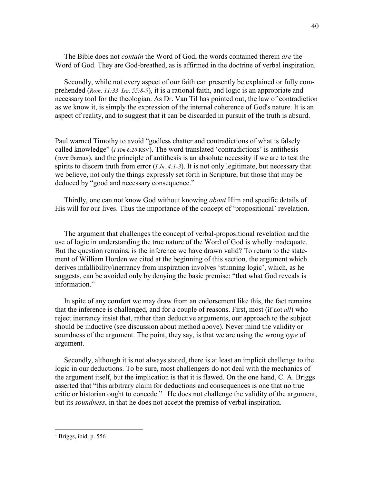The Bible does not *contain* the Word of God, the words contained therein *are* the Word of God. They are God-breathed, as is affirmed in the doctrine of verbal inspiration.

 Secondly, while not every aspect of our faith can presently be explained or fully comprehended (*Rom. 11:33 Isa. 55:8-9*), it is a rational faith, and logic is an appropriate and necessary tool for the theologian. As Dr. Van Til has pointed out, the law of contradiction as we know it, is simply the expression of the internal coherence of God's nature. It is an aspect of reality, and to suggest that it can be discarded in pursuit of the truth is absurd.

Paul warned Timothy to avoid "godless chatter and contradictions of what is falsely called knowledge" (*I Tim 6:20* RSV). The word translated 'contradictions' is antithesis (αντιθεσειs), and the principle of antithesis is an absolute necessity if we are to test the spirits to discern truth from error (*I Jn. 4:1-3*). It is not only legitimate, but necessary that we believe, not only the things expressly set forth in Scripture, but those that may be deduced by "good and necessary consequence."

 Thirdly, one can not know God without knowing *about* Him and specific details of His will for our lives. Thus the importance of the concept of 'propositional' revelation.

 The argument that challenges the concept of verbal-propositional revelation and the use of logic in understanding the true nature of the Word of God is wholly inadequate. But the question remains, is the inference we have drawn valid? To return to the statement of William Horden we cited at the beginning of this section, the argument which derives infallibility/inerrancy from inspiration involves 'stunning logic', which, as he suggests, can be avoided only by denying the basic premise: "that what God reveals is information."

 In spite of any comfort we may draw from an endorsement like this, the fact remains that the inference is challenged, and for a couple of reasons. First, most (if not *all*) who reject inerrancy insist that, rather than deductive arguments, our approach to the subject should be inductive (see discussion about method above). Never mind the validity or soundness of the argument. The point, they say, is that we are using the wrong *type* of argument.

 Secondly, although it is not always stated, there is at least an implicit challenge to the logic in our deductions. To be sure, most challengers do not deal with the mechanics of the argument itself, but the implication is that it is flawed. On the one hand, C. A. Briggs asserted that "this arbitrary claim for deductions and consequences is one that no true critic or historian ought to concede." <sup>1</sup> He does not challenge the validity of the argument, but its *soundness*, in that he does not accept the premise of verbal inspiration.

<sup>&</sup>lt;sup>1</sup> Briggs, ibid, p. 556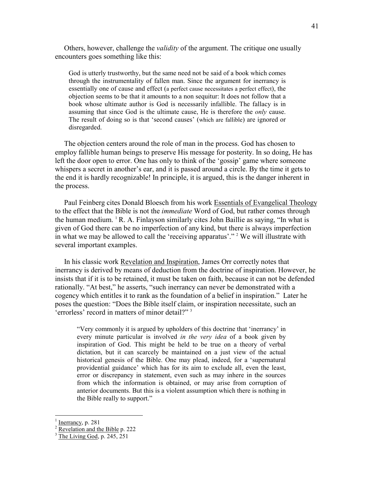Others, however, challenge the *validity* of the argument. The critique one usually encounters goes something like this:

God is utterly trustworthy, but the same need not be said of a book which comes through the instrumentality of fallen man. Since the argument for inerrancy is essentially one of cause and effect (a perfect cause necessitates a perfect effect), the objection seems to be that it amounts to a non sequitur: It does not follow that a book whose ultimate author is God is necessarily infallible. The fallacy is in assuming that since God is the ultimate cause, He is therefore the *only* cause. The result of doing so is that 'second causes' (which are fallible) are ignored or disregarded.

 The objection centers around the role of man in the process. God has chosen to employ fallible human beings to preserve His message for posterity. In so doing, He has left the door open to error. One has only to think of the 'gossip' game where someone whispers a secret in another's ear, and it is passed around a circle. By the time it gets to the end it is hardly recognizable! In principle, it is argued, this is the danger inherent in the process.

 Paul Feinberg cites Donald Bloesch from his work Essentials of Evangelical Theology to the effect that the Bible is not the *immediate* Word of God, but rather comes through the human medium.  ${}^{1}R$ . A. Finlayson similarly cites John Baillie as saying, "In what is given of God there can be no imperfection of any kind, but there is always imperfection in what we may be allowed to call the 'receiving apparatus'." <sup>2</sup> We will illustrate with several important examples.

 In his classic work Revelation and Inspiration, James Orr correctly notes that inerrancy is derived by means of deduction from the doctrine of inspiration. However, he insists that if it is to be retained, it must be taken on faith, because it can not be defended rationally. "At best," he asserts, "such inerrancy can never be demonstrated with a cogency which entitles it to rank as the foundation of a belief in inspiration." Later he poses the question: "Does the Bible itself claim, or inspiration necessitate, such an 'errorless' record in matters of minor detail?" <sup>3</sup>

"Very commonly it is argued by upholders of this doctrine that 'inerrancy' in every minute particular is involved *in the very idea* of a book given by inspiration of God. This might be held to be true on a theory of verbal dictation, but it can scarcely be maintained on a just view of the actual historical genesis of the Bible. One may plead, indeed, for a 'supernatural providential guidance' which has for its aim to exclude all, even the least, error or discrepancy in statement, even such as may inhere in the sources from which the information is obtained, or may arise from corruption of anterior documents. But this is a violent assumption which there is nothing in the Bible really to support."

<sup>1</sup> Inerrancy, p. 281

<sup>&</sup>lt;sup>2</sup> Revelation and the Bible p. 222

 $3$  The Living God, p. 245, 251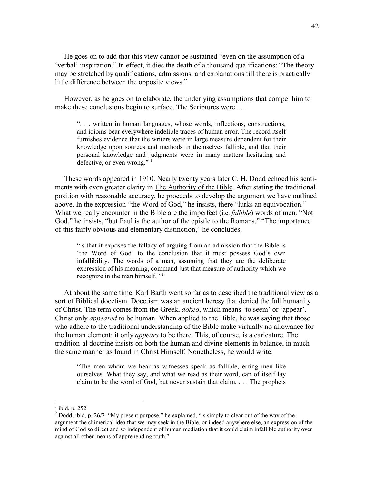He goes on to add that this view cannot be sustained "even on the assumption of a 'verbal' inspiration." In effect, it dies the death of a thousand qualifications: "The theory may be stretched by qualifications, admissions, and explanations till there is practically little difference between the opposite views."

 However, as he goes on to elaborate, the underlying assumptions that compel him to make these conclusions begin to surface. The Scriptures were ...

". . . written in human languages, whose words, inflections, constructions, and idioms bear everywhere indelible traces of human error. The record itself furnishes evidence that the writers were in large measure dependent for their knowledge upon sources and methods in themselves fallible, and that their personal knowledge and judgments were in many matters hesitating and defective, or even wrong."  $1$ 

 These words appeared in 1910. Nearly twenty years later C. H. Dodd echoed his sentiments with even greater clarity in The Authority of the Bible. After stating the traditional position with reasonable accuracy, he proceeds to develop the argument we have outlined above. In the expression "the Word of God," he insists, there "lurks an equivocation." What we really encounter in the Bible are the imperfect (i.e. *fallible*) words of men. "Not God," he insists, "but Paul is the author of the epistle to the Romans." "The importance of this fairly obvious and elementary distinction," he concludes,

"is that it exposes the fallacy of arguing from an admission that the Bible is 'the Word of God' to the conclusion that it must possess God's own infallibility. The words of a man, assuming that they are the deliberate expression of his meaning, command just that measure of authority which we recognize in the man himself."<sup>2</sup>

 At about the same time, Karl Barth went so far as to described the traditional view as a sort of Biblical docetism. Docetism was an ancient heresy that denied the full humanity of Christ. The term comes from the Greek, *dokeo*, which means 'to seem' or 'appear'. Christ only *appeared* to be human. When applied to the Bible, he was saying that those who adhere to the traditional understanding of the Bible make virtually no allowance for the human element: it only *appears* to be there. This, of course, is a caricature. The tradition-al doctrine insists on both the human and divine elements in balance, in much the same manner as found in Christ Himself. Nonetheless, he would write:

"The men whom we hear as witnesses speak as fallible, erring men like ourselves. What they say, and what we read as their word, can of itself lay claim to be the word of God, but never sustain that claim. . . . The prophets

 $\frac{1}{1}$ ibid, p. 252

 $2^{2}$  Dodd, ibid, p. 26/7 "My present purpose," he explained, "is simply to clear out of the way of the argument the chimerical idea that we may seek in the Bible, or indeed anywhere else, an expression of the mind of God so direct and so independent of human mediation that it could claim infallible authority over against all other means of apprehending truth."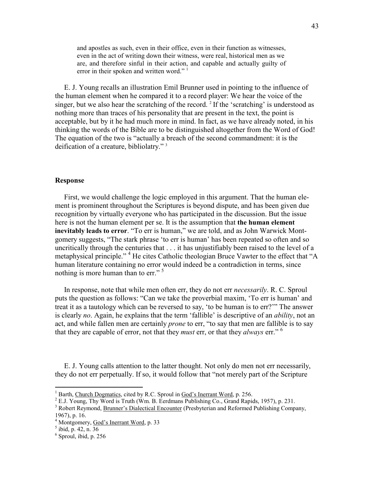and apostles as such, even in their office, even in their function as witnesses, even in the act of writing down their witness, were real, historical men as we are, and therefore sinful in their action, and capable and actually guilty of error in their spoken and written word."<sup>1</sup>

 E. J. Young recalls an illustration Emil Brunner used in pointing to the influence of the human element when he compared it to a record player: We hear the voice of the singer, but we also hear the scratching of the record.<sup>2</sup> If the 'scratching' is understood as nothing more than traces of his personality that are present in the text, the point is acceptable, but by it he had much more in mind. In fact, as we have already noted, in his thinking the words of the Bible are to be distinguished altogether from the Word of God! The equation of the two is "actually a breach of the second commandment: it is the deification of a creature, bibliolatry." <sup>3</sup>

#### **Response**

 First, we would challenge the logic employed in this argument. That the human element is prominent throughout the Scriptures is beyond dispute, and has been given due recognition by virtually everyone who has participated in the discussion. But the issue here is not the human element per se. It is the assumption that **the human element inevitably leads to error**. "To err is human," we are told, and as John Warwick Montgomery suggests, "The stark phrase 'to err is human' has been repeated so often and so uncritically through the centuries that . . . it has unjustifiably been raised to the level of a metaphysical principle."<sup>4</sup> He cites Catholic theologian Bruce Vawter to the effect that "A human literature containing no error would indeed be a contradiction in terms, since nothing is more human than to err."<sup>5</sup>

 In response, note that while men often err, they do not err *necessarily*. R. C. Sproul puts the question as follows: "Can we take the proverbial maxim, 'To err is human' and treat it as a tautology which can be reversed to say, 'to be human is to err?'" The answer is clearly *no*. Again, he explains that the term 'fallible' is descriptive of an *ability*, not an act, and while fallen men are certainly *prone* to err, "to say that men are fallible is to say that they are capable of error, not that they *must* err, or that they *always* err." <sup>6</sup>

 E. J. Young calls attention to the latter thought. Not only do men not err necessarily, they do not err perpetually. If so, it would follow that "not merely part of the Scripture

<sup>&</sup>lt;sup>1</sup> Barth, Church Dogmatics, cited by R.C. Sproul in God's Inerrant Word, p. 256.

 $2$  E.J. Young, Thy Word is Truth (Wm. B. Eerdmans Publishing Co., Grand Rapids, 1957), p. 231.

<sup>&</sup>lt;sup>3</sup> Robert Reymond, Brunner's Dialectical Encounter (Presbyterian and Reformed Publishing Company,

<sup>1967),</sup> p. 16.

<sup>&</sup>lt;sup>4</sup> Montgomery, God's Inerrant Word, p. 33

<sup>5</sup> ibid, p. 42, n. 36

<sup>6</sup> Sproul, ibid, p. 256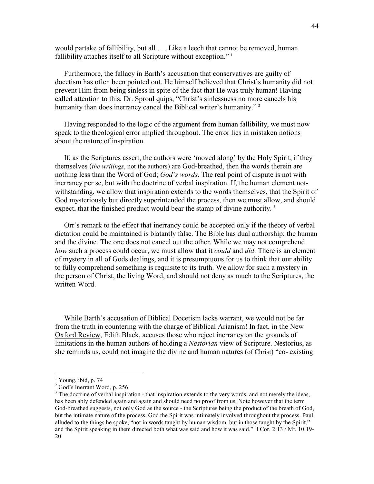would partake of fallibility, but all . . . Like a leech that cannot be removed, human fallibility attaches itself to all Scripture without exception."<sup>1</sup>

 Furthermore, the fallacy in Barth's accusation that conservatives are guilty of docetism has often been pointed out. He himself believed that Christ's humanity did not prevent Him from being sinless in spite of the fact that He was truly human! Having called attention to this, Dr. Sproul quips, "Christ's sinlessness no more cancels his humanity than does inerrancy cancel the Biblical writer's humanity."<sup>2</sup>

 Having responded to the logic of the argument from human fallibility, we must now speak to the theological error implied throughout. The error lies in mistaken notions about the nature of inspiration.

 If, as the Scriptures assert, the authors were 'moved along' by the Holy Spirit, if they themselves (*the writings*, not the authors) are God-breathed, then the words therein are nothing less than the Word of God; *God's words*. The real point of dispute is not with inerrancy per se, but with the doctrine of verbal inspiration. If, the human element notwithstanding, we allow that inspiration extends to the words themselves, that the Spirit of God mysteriously but directly superintended the process, then we must allow, and should expect, that the finished product would bear the stamp of divine authority.<sup>3</sup>

 Orr's remark to the effect that inerrancy could be accepted only if the theory of verbal dictation could be maintained is blatantly false. The Bible has dual authorship; the human and the divine. The one does not cancel out the other. While we may not comprehend *how* such a process could occur, we must allow that it *could* and *did*. There is an element of mystery in all of Gods dealings, and it is presumptuous for us to think that our ability to fully comprehend something is requisite to its truth. We allow for such a mystery in the person of Christ, the living Word, and should not deny as much to the Scriptures, the written Word.

 While Barth's accusation of Biblical Docetism lacks warrant, we would not be far from the truth in countering with the charge of Biblical Arianism! In fact, in the New Oxford Review, Edith Black, accuses those who reject inerrancy on the grounds of limitations in the human authors of holding a *Nestorian* view of Scripture. Nestorius, as she reminds us, could not imagine the divine and human natures (of Christ) "co- existing

<sup>&</sup>lt;sup>1</sup> Young, ibid, p. 74

 $2 \overline{\text{God's Insert}}$  Word, p. 256

<sup>&</sup>lt;sup>3</sup> The doctrine of verbal inspiration - that inspiration extends to the very words, and not merely the ideas, has been ably defended again and again and should need no proof from us. Note however that the term God-breathed suggests, not only God as the source - the Scriptures being the product of the breath of God, but the intimate nature of the process. God the Spirit was intimately involved throughout the process. Paul alluded to the things he spoke, "not in words taught by human wisdom, but in those taught by the Spirit," and the Spirit speaking in them directed both what was said and how it was said." I Cor. 2:13 / Mt. 10:19- 20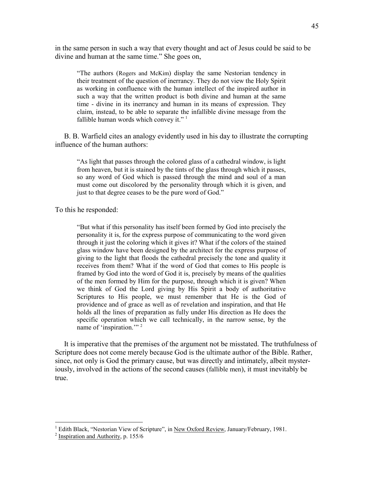in the same person in such a way that every thought and act of Jesus could be said to be divine and human at the same time." She goes on,

"The authors (Rogers and McKim) display the same Nestorian tendency in their treatment of the question of inerrancy. They do not view the Holy Spirit as working in confluence with the human intellect of the inspired author in such a way that the written product is both divine and human at the same time - divine in its inerrancy and human in its means of expression. They claim, instead, to be able to separate the infallible divine message from the fallible human words which convey it." $1$ 

 B. B. Warfield cites an analogy evidently used in his day to illustrate the corrupting influence of the human authors:

"As light that passes through the colored glass of a cathedral window, is light from heaven, but it is stained by the tints of the glass through which it passes, so any word of God which is passed through the mind and soul of a man must come out discolored by the personality through which it is given, and just to that degree ceases to be the pure word of God."

To this he responded:

"But what if this personality has itself been formed by God into precisely the personality it is, for the express purpose of communicating to the word given through it just the coloring which it gives it? What if the colors of the stained glass window have been designed by the architect for the express purpose of giving to the light that floods the cathedral precisely the tone and quality it receives from them? What if the word of God that comes to His people is framed by God into the word of God it is, precisely by means of the qualities of the men formed by Him for the purpose, through which it is given? When we think of God the Lord giving by His Spirit a body of authoritative Scriptures to His people, we must remember that He is the God of providence and of grace as well as of revelation and inspiration, and that He holds all the lines of preparation as fully under His direction as He does the specific operation which we call technically, in the narrow sense, by the name of 'inspiration."<sup>2</sup>

 It is imperative that the premises of the argument not be misstated. The truthfulness of Scripture does not come merely because God is the ultimate author of the Bible. Rather, since, not only is God the primary cause, but was directly and intimately, albeit mysteriously, involved in the actions of the second causes (fallible men), it must inevitably be true.

<sup>&</sup>lt;sup>1</sup> Edith Black, "Nestorian View of Scripture", in <u>New Oxford Review</u>, January/February, 1981.

 $2$  Inspiration and Authority, p. 155/6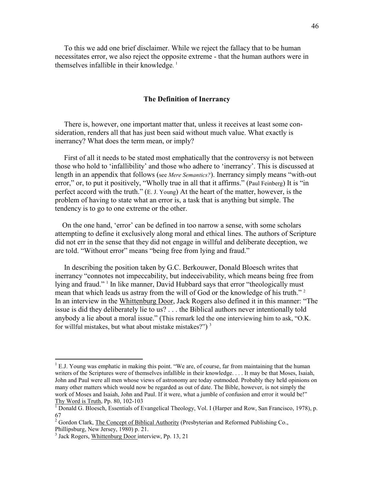To this we add one brief disclaimer. While we reject the fallacy that to be human necessitates error, we also reject the opposite extreme - that the human authors were in themselves infallible in their knowledge. 1

#### **The Definition of Inerrancy**

 There is, however, one important matter that, unless it receives at least some consideration, renders all that has just been said without much value. What exactly is inerrancy? What does the term mean, or imply?

 First of all it needs to be stated most emphatically that the controversy is not between those who hold to 'infallibility' and those who adhere to 'inerrancy'. This is discussed at length in an appendix that follows (see *Mere Semantics?*). Inerrancy simply means "with-out error," or, to put it positively, "Wholly true in all that it affirms." (Paul Feinberg) It is "in perfect accord with the truth." (E. J. Young) At the heart of the matter, however, is the problem of having to state what an error is, a task that is anything but simple. The tendency is to go to one extreme or the other.

 On the one hand, 'error' can be defined in too narrow a sense, with some scholars attempting to define it exclusively along moral and ethical lines. The authors of Scripture did not err in the sense that they did not engage in willful and deliberate deception, we are told. "Without error" means "being free from lying and fraud."

 In describing the position taken by G.C. Berkouwer, Donald Bloesch writes that inerrancy "connotes not impeccability, but indeceivability, which means being free from lying and fraud."<sup>1</sup> In like manner, David Hubbard says that error "theologically must mean that which leads us astray from the will of God or the knowledge of his truth."<sup>2</sup> In an interview in the Whittenburg Door, Jack Rogers also defined it in this manner: "The issue is did they deliberately lie to us? . . . the Biblical authors never intentionally told anybody a lie about a moral issue." (This remark led the one interviewing him to ask, "O.K. for willful mistakes, but what about mistake mistakes?") $3$ 

 $<sup>1</sup>$  E.J. Young was emphatic in making this point. "We are, of course, far from maintaining that the human</sup> writers of the Scriptures were of themselves infallible in their knowledge. . . . It may be that Moses, Isaiah, John and Paul were all men whose views of astronomy are today outmoded. Probably they held opinions on many other matters which would now be regarded as out of date. The Bible, however, is not simply the work of Moses and Isaiah, John and Paul. If it were, what a jumble of confusion and error it would be!" Thy Word is Truth, Pp. 80, 102-103

<sup>&</sup>lt;sup>1</sup> Donald G. Bloesch, Essentials of Evangelical Theology, Vol. I (Harper and Row, San Francisco, 1978), p. 67

<sup>&</sup>lt;sup>2</sup> Gordon Clark, The Concept of Biblical Authority (Presbyterian and Reformed Publishing Co., Phillipsburg, New Jersey, 1980) p. 21.

<sup>&</sup>lt;sup>3</sup> Jack Rogers, Whittenburg Door interview, Pp. 13, 21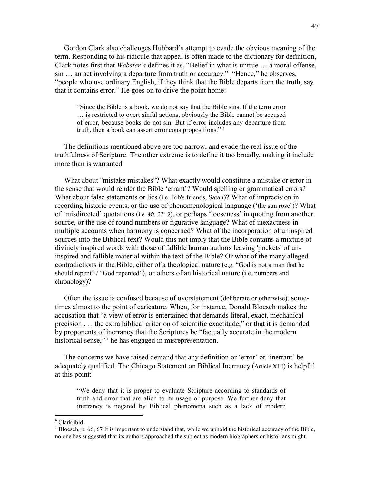Gordon Clark also challenges Hubbard's attempt to evade the obvious meaning of the term. Responding to his ridicule that appeal is often made to the dictionary for definition, Clark notes first that *Webster's* defines it as, "Belief in what is untrue … a moral offense, sin … an act involving a departure from truth or accuracy." "Hence," he observes, "people who use ordinary English, if they think that the Bible departs from the truth, say that it contains error." He goes on to drive the point home:

"Since the Bible is a book, we do not say that the Bible sins. If the term error … is restricted to overt sinful actions, obviously the Bible cannot be accused of error, because books do not sin. But if error includes any departure from truth, then a book can assert erroneous propositions." <sup>4</sup>

 The definitions mentioned above are too narrow, and evade the real issue of the truthfulness of Scripture. The other extreme is to define it too broadly, making it include more than is warranted.

 What about "mistake mistakes"? What exactly would constitute a mistake or error in the sense that would render the Bible 'errant'? Would spelling or grammatical errors? What about false statements or lies (i.e. Job's friends, Satan)? What of imprecision in recording historic events, or the use of phenomenological language ('the sun rose')? What of 'misdirected' quotations (i.e. *Mt. 27: 9*), or perhaps 'looseness' in quoting from another source, or the use of round numbers or figurative language? What of inexactness in multiple accounts when harmony is concerned? What of the incorporation of uninspired sources into the Biblical text? Would this not imply that the Bible contains a mixture of divinely inspired words with those of fallible human authors leaving 'pockets' of uninspired and fallible material within the text of the Bible? Or what of the many alleged contradictions in the Bible, either of a theological nature (e.g. "God is not a man that he should repent" / "God repented"), or others of an historical nature (i.e. numbers and chronology)?

 Often the issue is confused because of overstatement (deliberate or otherwise), sometimes almost to the point of caricature. When, for instance, Donald Bloesch makes the accusation that "a view of error is entertained that demands literal, exact, mechanical precision . . . the extra biblical criterion of scientific exactitude," or that it is demanded by proponents of inerrancy that the Scriptures be "factually accurate in the modern historical sense,"<sup>1</sup> he has engaged in misrepresentation.

 The concerns we have raised demand that any definition or 'error' or 'inerrant' be adequately qualified. The Chicago Statement on Biblical Inerrancy (Article XIII) is helpful at this point:

"We deny that it is proper to evaluate Scripture according to standards of truth and error that are alien to its usage or purpose. We further deny that inerrancy is negated by Biblical phenomena such as a lack of modern

 4 Clark,ibid.

 $<sup>1</sup>$  Bloesch, p. 66, 67 It is important to understand that, while we uphold the historical accuracy of the Bible,</sup> no one has suggested that its authors approached the subject as modern biographers or historians might.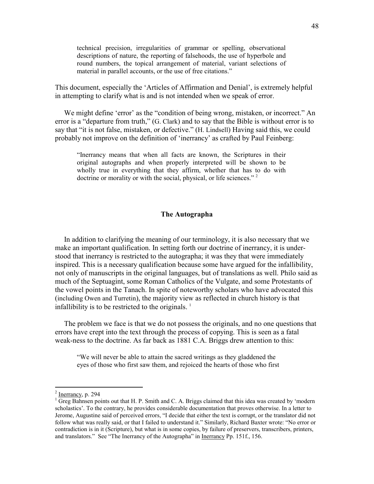technical precision, irregularities of grammar or spelling, observational descriptions of nature, the reporting of falsehoods, the use of hyperbole and round numbers, the topical arrangement of material, variant selections of material in parallel accounts, or the use of free citations."

This document, especially the 'Articles of Affirmation and Denial', is extremely helpful in attempting to clarify what is and is not intended when we speak of error.

 We might define 'error' as the "condition of being wrong, mistaken, or incorrect." An error is a "departure from truth," (G. Clark) and to say that the Bible is without error is to say that "it is not false, mistaken, or defective." (H. Lindsell) Having said this, we could probably not improve on the definition of 'inerrancy' as crafted by Paul Feinberg:

"Inerrancy means that when all facts are known, the Scriptures in their original autographs and when properly interpreted will be shown to be wholly true in everything that they affirm, whether that has to do with doctrine or morality or with the social, physical, or life sciences."<sup>2</sup>

#### **The Autographa**

 In addition to clarifying the meaning of our terminology, it is also necessary that we make an important qualification. In setting forth our doctrine of inerrancy, it is understood that inerrancy is restricted to the autographa; it was they that were immediately inspired. This is a necessary qualification because some have argued for the infallibility, not only of manuscripts in the original languages, but of translations as well. Philo said as much of the Septuagint, some Roman Catholics of the Vulgate, and some Protestants of the vowel points in the Tanach. In spite of noteworthy scholars who have advocated this (including Owen and Turretin), the majority view as reflected in church history is that infallibility is to be restricted to the originals.  $<sup>1</sup>$ </sup>

 The problem we face is that we do not possess the originals, and no one questions that errors have crept into the text through the process of copying. This is seen as a fatal weak-ness to the doctrine. As far back as 1881 C.A. Briggs drew attention to this:

"We will never be able to attain the sacred writings as they gladdened the eyes of those who first saw them, and rejoiced the hearts of those who first

 $\frac{1}{2}$  <u>Inerrancy</u>, p. 294

<sup>&</sup>lt;sup>1</sup> Greg Bahnsen points out that H. P. Smith and C. A. Briggs claimed that this idea was created by 'modern scholastics'. To the contrary, he provides considerable documentation that proves otherwise. In a letter to Jerome, Augustine said of perceived errors, "I decide that either the text is corrupt, or the translator did not follow what was really said, or that I failed to understand it." Similarly, Richard Baxter wrote: "No error or contradiction is in it (Scripture), but what is in some copies, by failure of preservers, transcribers, printers, and translators." See "The Inerrancy of the Autographa" in Inerrancy Pp. 151f., 156.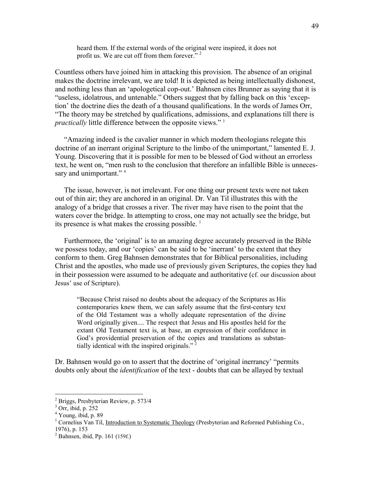heard them. If the external words of the original were inspired, it does not profit us. We are cut off from them forever."<sup>2</sup>

Countless others have joined him in attacking this provision. The absence of an original makes the doctrine irrelevant, we are told! It is depicted as being intellectually dishonest, and nothing less than an 'apologetical cop-out.' Bahnsen cites Brunner as saying that it is "useless, idolatrous, and untenable." Others suggest that by falling back on this 'exception' the doctrine dies the death of a thousand qualifications. In the words of James Orr, "The theory may be stretched by qualifications, admissions, and explanations till there is *practically* little difference between the opposite views."<sup>3</sup>

 "Amazing indeed is the cavalier manner in which modern theologians relegate this doctrine of an inerrant original Scripture to the limbo of the unimportant," lamented E. J. Young. Discovering that it is possible for men to be blessed of God without an errorless text, he went on, "men rush to the conclusion that therefore an infallible Bible is unnecessary and unimportant."<sup>4</sup>

 The issue, however, is not irrelevant. For one thing our present texts were not taken out of thin air; they are anchored in an original. Dr. Van Til illustrates this with the analogy of a bridge that crosses a river. The river may have risen to the point that the waters cover the bridge. In attempting to cross, one may not actually see the bridge, but its presence is what makes the crossing possible.  $<sup>1</sup>$ </sup>

 Furthermore, the 'original' is to an amazing degree accurately preserved in the Bible we possess today, and our 'copies' can be said to be 'inerrant' to the extent that they conform to them. Greg Bahnsen demonstrates that for Biblical personalities, including Christ and the apostles, who made use of previously given Scriptures, the copies they had in their possession were assumed to be adequate and authoritative (cf. our discussion about Jesus' use of Scripture).

"Because Christ raised no doubts about the adequacy of the Scriptures as His contemporaries knew them, we can safely assume that the first-century text of the Old Testament was a wholly adequate representation of the divine Word originally given.... The respect that Jesus and His apostles held for the extant Old Testament text is, at base, an expression of their confidence in God's providential preservation of the copies and translations as substantially identical with the inspired originals."<sup>2</sup>

Dr. Bahnsen would go on to assert that the doctrine of 'original inerrancy' "permits doubts only about the *identification* of the text - doubts that can be allayed by textual

 2 Briggs, Presbyterian Review, p. 573/4

<sup>3</sup> Orr, ibid, p. 252

<sup>4</sup> Young, ibid, p. 89

<sup>&</sup>lt;sup>1</sup> Cornelius Van Til, Introduction to Systematic Theology (Presbyterian and Reformed Publishing Co., 1976), p. 153

<sup>&</sup>lt;sup>2</sup> Bahnsen, ibid, Pp. 161 (159f.)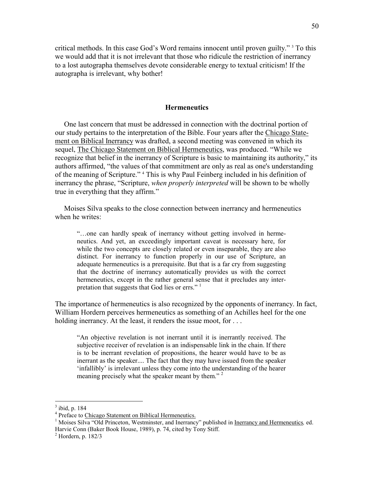critical methods. In this case God's Word remains innocent until proven guilty." <sup>3</sup> To this we would add that it is not irrelevant that those who ridicule the restriction of inerrancy to a lost autographa themselves devote considerable energy to textual criticism! If the autographa is irrelevant, why bother!

#### **Hermeneutics**

 One last concern that must be addressed in connection with the doctrinal portion of our study pertains to the interpretation of the Bible. Four years after the Chicago Statement on Biblical Inerrancy was drafted, a second meeting was convened in which its sequel, The Chicago Statement on Biblical Hermeneutics, was produced. "While we recognize that belief in the inerrancy of Scripture is basic to maintaining its authority," its authors affirmed, "the values of that commitment are only as real as one's understanding of the meaning of Scripture." <sup>4</sup> This is why Paul Feinberg included in his definition of inerrancy the phrase, "Scripture, *when properly interpreted* will be shown to be wholly true in everything that they affirm."

 Moises Silva speaks to the close connection between inerrancy and hermeneutics when he writes:

"…one can hardly speak of inerrancy without getting involved in hermeneutics. And yet, an exceedingly important caveat is necessary here, for while the two concepts are closely related or even inseparable, they are also distinct. For inerrancy to function properly in our use of Scripture, an adequate hermeneutics is a prerequisite. But that is a far cry from suggesting that the doctrine of inerrancy automatically provides us with the correct hermeneutics, except in the rather general sense that it precludes any interpretation that suggests that God lies or errs." $1$ 

The importance of hermeneutics is also recognized by the opponents of inerrancy. In fact, William Hordern perceives hermeneutics as something of an Achilles heel for the one holding inerrancy. At the least, it renders the issue moot, for ...

"An objective revelation is not inerrant until it is inerrantly received. The subjective receiver of revelation is an indispensable link in the chain. If there is to be inerrant revelation of propositions, the hearer would have to be as inerrant as the speaker.... The fact that they may have issued from the speaker 'infallibly' is irrelevant unless they come into the understanding of the hearer meaning precisely what the speaker meant by them."<sup>2</sup>

 3 ibid, p. 184

<sup>&</sup>lt;sup>4</sup> Preface to Chicago Statement on Biblical Hermeneutics.

<sup>&</sup>lt;sup>1</sup> Moises Silva "Old Princeton, Westminster, and Inerrancy" published in Inerrancy and Hermeneutics, ed. Harvie Conn (Baker Book House, 1989), p. 74, cited by Tony Stiff. 2 Hordern, p. 182/3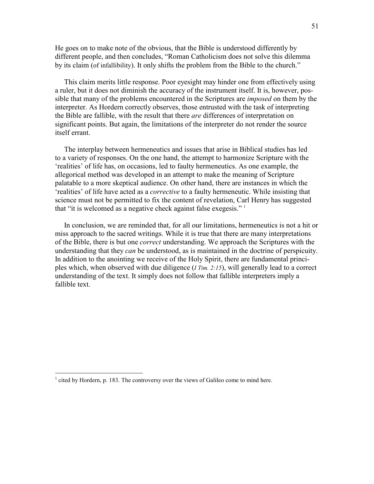He goes on to make note of the obvious, that the Bible is understood differently by different people, and then concludes, "Roman Catholicism does not solve this dilemma by its claim (of infallibility). It only shifts the problem from the Bible to the church."

 This claim merits little response. Poor eyesight may hinder one from effectively using a ruler, but it does not diminish the accuracy of the instrument itself. It is, however, possible that many of the problems encountered in the Scriptures are *imposed* on them by the interpreter. As Hordern correctly observes, those entrusted with the task of interpreting the Bible are fallible, with the result that there *are* differences of interpretation on significant points. But again, the limitations of the interpreter do not render the source itself errant.

 The interplay between hermeneutics and issues that arise in Biblical studies has led to a variety of responses. On the one hand, the attempt to harmonize Scripture with the 'realities' of life has, on occasions, led to faulty hermeneutics. As one example, the allegorical method was developed in an attempt to make the meaning of Scripture palatable to a more skeptical audience. On other hand, there are instances in which the 'realities' of life have acted as a *corrective* to a faulty hermeneutic. While insisting that science must not be permitted to fix the content of revelation, Carl Henry has suggested that "it is welcomed as a negative check against false exegesis." <sup>1</sup>

 In conclusion, we are reminded that, for all our limitations, hermeneutics is not a hit or miss approach to the sacred writings. While it is true that there are many interpretations of the Bible, there is but one *correct* understanding. We approach the Scriptures with the understanding that they *can* be understood, as is maintained in the doctrine of perspicuity. In addition to the anointing we receive of the Holy Spirit, there are fundamental principles which, when observed with due diligence (*I Tim. 2:15*), will generally lead to a correct understanding of the text. It simply does not follow that fallible interpreters imply a fallible text.

 $<sup>1</sup>$  cited by Hordern, p. 183. The controversy over the views of Galileo come to mind here.</sup>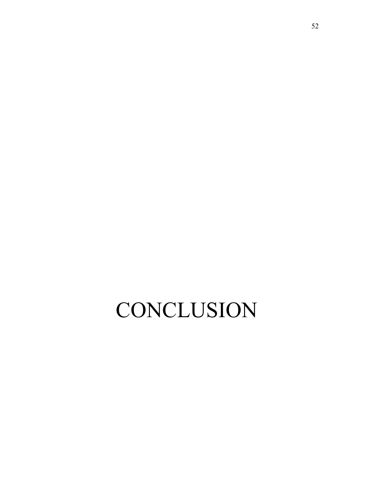# **CONCLUSION**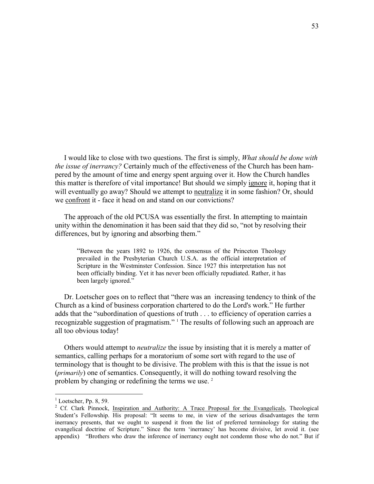I would like to close with two questions. The first is simply, *What should be done with the issue of inerrancy?* Certainly much of the effectiveness of the Church has been hampered by the amount of time and energy spent arguing over it. How the Church handles this matter is therefore of vital importance! But should we simply ignore it, hoping that it will eventually go away? Should we attempt to neutralize it in some fashion? Or, should we confront it - face it head on and stand on our convictions?

 The approach of the old PCUSA was essentially the first. In attempting to maintain unity within the denomination it has been said that they did so, "not by resolving their differences, but by ignoring and absorbing them."

"Between the years 1892 to 1926, the consensus of the Princeton Theology prevailed in the Presbyterian Church U.S.A. as the official interpretation of Scripture in the Westminster Confession. Since 1927 this interpretation has not been officially binding. Yet it has never been officially repudiated. Rather, it has been largely ignored."

 Dr. Loetscher goes on to reflect that "there was an increasing tendency to think of the Church as a kind of business corporation chartered to do the Lord's work." He further adds that the "subordination of questions of truth . . . to efficiency of operation carries a recognizable suggestion of pragmatism." <sup>1</sup> The results of following such an approach are all too obvious today!

 Others would attempt to *neutralize* the issue by insisting that it is merely a matter of semantics, calling perhaps for a moratorium of some sort with regard to the use of terminology that is thought to be divisive. The problem with this is that the issue is not (*primarily*) one of semantics. Consequently, it will do nothing toward resolving the problem by changing or redefining the terms we use.  $2$ 

 $1$  Loetscher, Pp. 8, 59.

<sup>&</sup>lt;sup>2</sup> Cf. Clark Pinnock, Inspiration and Authority: A Truce Proposal for the Evangelicals, Theological Student's Fellowship. His proposal: "It seems to me, in view of the serious disadvantages the term inerrancy presents, that we ought to suspend it from the list of preferred terminology for stating the evangelical doctrine of Scripture." Since the term 'inerrancy' has become divisive, let avoid it. (see appendix) "Brothers who draw the inference of inerrancy ought not condemn those who do not." But if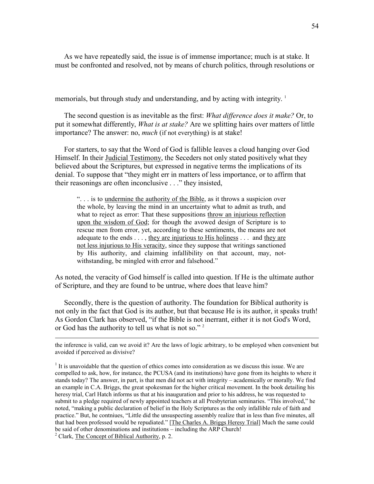As we have repeatedly said, the issue is of immense importance; much is at stake. It must be confronted and resolved, not by means of church politics, through resolutions or

memorials, but through study and understanding, and by acting with integrity. <sup>1</sup>

The second question is as inevitable as the first: *What difference does it make?* Or, to put it somewhat differently, *What is at stake?* Are we splitting hairs over matters of little importance? The answer: no, *much* (if not everything) is at stake!

 For starters, to say that the Word of God is fallible leaves a cloud hanging over God Himself. In their Judicial Testimony, the Seceders not only stated positively what they believed about the Scriptures, but expressed in negative terms the implications of its denial. To suppose that "they might err in matters of less importance, or to affirm that their reasonings are often inconclusive . . ." they insisted,

". . . is to undermine the authority of the Bible, as it throws a suspicion over the whole, by leaving the mind in an uncertainty what to admit as truth, and what to reject as error: That these suppositions throw an injurious reflection upon the wisdom of God; for though the avowed design of Scripture is to rescue men from error, yet, according to these sentiments, the means are not adequate to the ends . . . , they are injurious to His holiness . . . and they are not less injurious to His veracity, since they suppose that writings sanctioned by His authority, and claiming infallibility on that account, may, notwithstanding, be mingled with error and falsehood."

As noted, the veracity of God himself is called into question. If He is the ultimate author of Scripture, and they are found to be untrue, where does that leave him?

 Secondly, there is the question of authority. The foundation for Biblical authority is not only in the fact that God is its author, but that because He is its author, it speaks truth! As Gordon Clark has observed, "if the Bible is not inerrant, either it is not God's Word, or God has the authority to tell us what is not so." <sup>2</sup>

the inference is valid, can we avoid it? Are the laws of logic arbitrary, to be employed when convenient but avoided if perceived as divisive?

 $<sup>1</sup>$  It is unavoidable that the question of ethics comes into consideration as we discuss this issue. We are</sup> compelled to ask, how, for instance, the PCUSA (and its institutions) have gone from its heights to where it stands today? The answer, in part, is that men did not act with integrity – academically or morally. We find an example in C.A. Briggs, the great spokesman for the higher critical movement. In the book detailing his heresy trial, Carl Hatch informs us that at his inauguration and prior to his address, he was requested to submit to a pledge required of newly appointed teachers at all Presbyterian seminaries. "This involved," he noted, "making a public declaration of belief in the Holy Scriptures as the only infallible rule of faith and practice." But, he contniues, "Little did the unsuspecting assembly realize that in less than five minutes, all that had been professed would be repudiated." [The Charles A. Briggs Heresy Trial] Much the same could be said of other denominations and institutions – including the ARP Church!

<sup>&</sup>lt;sup>2</sup> Clark, The Concept of Biblical Authority, p. 2.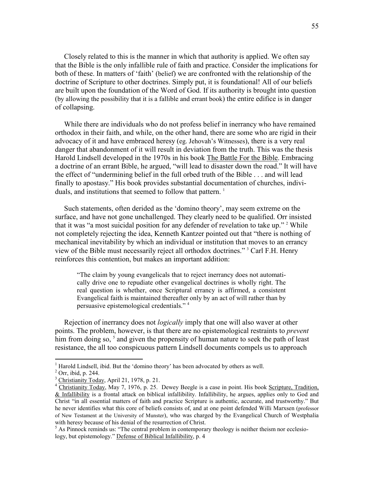Closely related to this is the manner in which that authority is applied. We often say that the Bible is the only infallible rule of faith and practice. Consider the implications for both of these. In matters of 'faith' (belief) we are confronted with the relationship of the doctrine of Scripture to other doctrines. Simply put, it is foundational! All of our beliefs are built upon the foundation of the Word of God. If its authority is brought into question (by allowing the possibility that it is a fallible and errant book) the entire edifice is in danger of collapsing.

 While there are individuals who do not profess belief in inerrancy who have remained orthodox in their faith, and while, on the other hand, there are some who are rigid in their advocacy of it and have embraced heresy (eg. Jehovah's Witnesses), there is a very real danger that abandonment of it will result in deviation from the truth. This was the thesis Harold Lindsell developed in the 1970s in his book The Battle For the Bible. Embracing a doctrine of an errant Bible, he argued, "will lead to disaster down the road." It will have the effect of "undermining belief in the full orbed truth of the Bible . . . and will lead finally to apostasy." His book provides substantial documentation of churches, individuals, and institutions that seemed to follow that pattern.<sup>1</sup>

 Such statements, often derided as the 'domino theory', may seem extreme on the surface, and have not gone unchallenged. They clearly need to be qualified. Orr insisted that it was "a most suicidal position for any defender of revelation to take up."<sup>2</sup> While not completely rejecting the idea, Kenneth Kantzer pointed out that "there is nothing of mechanical inevitability by which an individual or institution that moves to an errancy view of the Bible must necessarily reject all orthodox doctrines." <sup>3</sup> Carl F.H. Henry reinforces this contention, but makes an important addition:

"The claim by young evangelicals that to reject inerrancy does not automatically drive one to repudiate other evangelical doctrines is wholly right. The real question is whether, once Scriptural errancy is affirmed, a consistent Evangelical faith is maintained thereafter only by an act of will rather than by persuasive epistemological credentials." <sup>4</sup>

 Rejection of inerrancy does not *logically* imply that one will also waver at other points. The problem, however, is that there are no epistemological restraints to *prevent* him from doing so,<sup>5</sup> and given the propensity of human nature to seek the path of least resistance, the all too conspicuous pattern Lindsell documents compels us to approach

 1 Harold Lindsell, ibid. But the 'domino theory' has been advocated by others as well.

<sup>2</sup> Orr, ibid, p. 244.

<sup>&</sup>lt;sup>3</sup> Christianity Today, April 21, 1978, p. 21.

<sup>&</sup>lt;sup>4</sup> Christianity Today, May 7, 1976, p. 25. Dewey Beegle is a case in point. His book Scripture, Tradition, & Infallibility is a frontal attack on biblical infallibility. Infallibility, he argues, applies only to God and Christ "in all essential matters of faith and practice Scripture is authentic, accurate, and trustworthy." But he never identifies what this core of beliefs consists of, and at one point defended Willi Marxsen (professor of New Testament at the University of Munster), who was charged by the Evangelical Church of Westphalia with heresy because of his denial of the resurrection of Christ.

<sup>&</sup>lt;sup>5</sup> As Pinnock reminds us: "The central problem in contemporary theology is neither theism nor ecclesiology, but epistemology." Defense of Biblical Infallibility, p. 4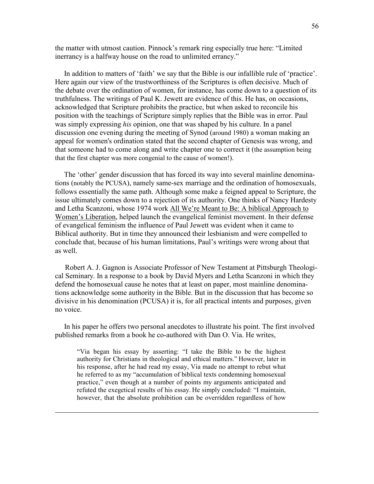the matter with utmost caution. Pinnock's remark ring especially true here: "Limited inerrancy is a halfway house on the road to unlimited errancy."

 In addition to matters of 'faith' we say that the Bible is our infallible rule of 'practice'. Here again our view of the trustworthiness of the Scriptures is often decisive. Much of the debate over the ordination of women, for instance, has come down to a question of its truthfulness. The writings of Paul K. Jewett are evidence of this. He has, on occasions, acknowledged that Scripture prohibits the practice, but when asked to reconcile his position with the teachings of Scripture simply replies that the Bible was in error. Paul was simply expressing *his* opinion, one that was shaped by his culture. In a panel discussion one evening during the meeting of Synod (around 1980) a woman making an appeal for women's ordination stated that the second chapter of Genesis was wrong, and that someone had to come along and write chapter one to correct it (the assumption being that the first chapter was more congenial to the cause of women!).

 The 'other' gender discussion that has forced its way into several mainline denominations (notably the PCUSA), namely same-sex marriage and the ordination of homosexuals, follows essentially the same path. Although some make a feigned appeal to Scripture, the issue ultimately comes down to a rejection of its authority. One thinks of Nancy Hardesty and Letha Scanzoni, whose 1974 work All We're Meant to Be: A biblical Approach to Women's Liberation, helped launch the evangelical feminist movement. In their defense of evangelical feminism the influence of Paul Jewett was evident when it came to Biblical authority. But in time they announced their lesbianism and were compelled to conclude that, because of his human limitations, Paul's writings were wrong about that as well.

 Robert A. J. Gagnon is Associate Professor of New Testament at Pittsburgh Theological Seminary. In a response to a book by David Myers and Letha Scanzoni in which they defend the homosexual cause he notes that at least on paper, most mainline denominations acknowledge some authority in the Bible. But in the discussion that has become so divisive in his denomination (PCUSA) it is, for all practical intents and purposes, given no voice.

 In his paper he offers two personal anecdotes to illustrate his point. The first involved published remarks from a book he co-authored with Dan O. Via. He writes,

"Via began his essay by asserting: "I take the Bible to be the highest authority for Christians in theological and ethical matters." However, later in his response, after he had read my essay, Via made no attempt to rebut what he referred to as my "accumulation of biblical texts condemning homosexual practice," even though at a number of points my arguments anticipated and refuted the exegetical results of his essay. He simply concluded: "I maintain, however, that the absolute prohibition can be overridden regardless of how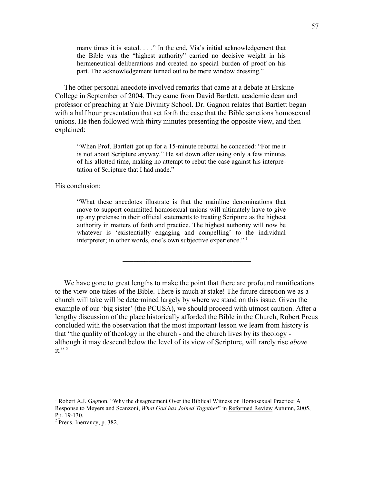many times it is stated. . . ." In the end, Via's initial acknowledgement that the Bible was the "highest authority" carried no decisive weight in his hermeneutical deliberations and created no special burden of proof on his part. The acknowledgement turned out to be mere window dressing."

 The other personal anecdote involved remarks that came at a debate at Erskine College in September of 2004. They came from David Bartlett, academic dean and professor of preaching at Yale Divinity School. Dr. Gagnon relates that Bartlett began with a half hour presentation that set forth the case that the Bible sanctions homosexual unions. He then followed with thirty minutes presenting the opposite view, and then explained:

"When Prof. Bartlett got up for a 15-minute rebuttal he conceded: "For me it is not about Scripture anyway." He sat down after using only a few minutes of his allotted time, making no attempt to rebut the case against his interpretation of Scripture that I had made."

His conclusion:

"What these anecdotes illustrate is that the mainline denominations that move to support committed homosexual unions will ultimately have to give up any pretense in their official statements to treating Scripture as the highest authority in matters of faith and practice. The highest authority will now be whatever is 'existentially engaging and compelling' to the individual interpreter; in other words, one's own subjective experience."<sup>1</sup>

 $\mathcal{L}_\text{max}$  , and the set of the set of the set of the set of the set of the set of the set of the set of the set of the set of the set of the set of the set of the set of the set of the set of the set of the set of the

 We have gone to great lengths to make the point that there are profound ramifications to the view one takes of the Bible. There is much at stake! The future direction we as a church will take will be determined largely by where we stand on this issue. Given the example of our 'big sister' (the PCUSA), we should proceed with utmost caution. After a lengthy discussion of the place historically afforded the Bible in the Church, Robert Preus concluded with the observation that the most important lesson we learn from history is that "the quality of theology in the church - and the church lives by its theology although it may descend below the level of its view of Scripture, will rarely rise *above*  it." $2$ 

 1 Robert A.J. Gagnon, "Why the disagreement Over the Biblical Witness on Homosexual Practice: A Response to Meyers and Scanzoni, *What God has Joined Together*" in Reformed Review Autumn, 2005, Pp. 19-130.

 $2$  Preus, Inerrancy, p. 382.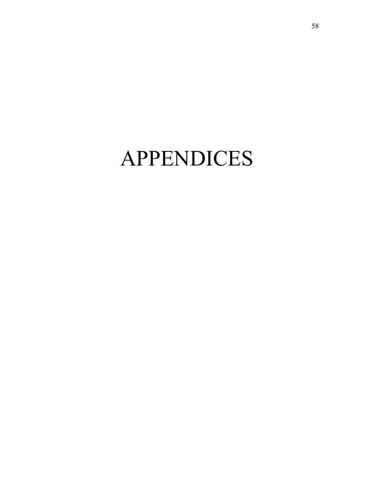# APPENDICES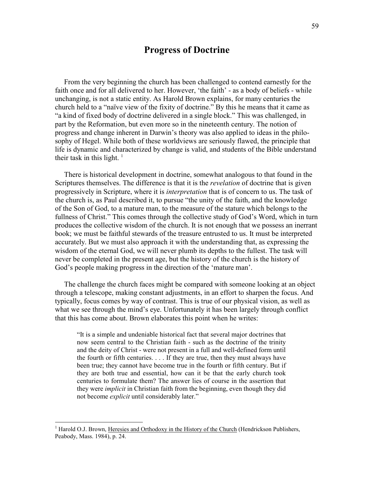### **Progress of Doctrine**

 From the very beginning the church has been challenged to contend earnestly for the faith once and for all delivered to her. However, 'the faith' - as a body of beliefs - while unchanging, is not a static entity. As Harold Brown explains, for many centuries the church held to a "naïve view of the fixity of doctrine." By this he means that it came as "a kind of fixed body of doctrine delivered in a single block." This was challenged, in part by the Reformation, but even more so in the nineteenth century. The notion of progress and change inherent in Darwin's theory was also applied to ideas in the philosophy of Hegel. While both of these worldviews are seriously flawed, the principle that life is dynamic and characterized by change is valid, and students of the Bible understand their task in this light.  $\frac{1}{1}$ 

 There is historical development in doctrine, somewhat analogous to that found in the Scriptures themselves. The difference is that it is the *revelation* of doctrine that is given progressively in Scripture, where it is *interpretation* that is of concern to us. The task of the church is, as Paul described it, to pursue "the unity of the faith, and the knowledge of the Son of God, to a mature man, to the measure of the stature which belongs to the fullness of Christ." This comes through the collective study of God's Word, which in turn produces the collective wisdom of the church. It is not enough that we possess an inerrant book; we must be faithful stewards of the treasure entrusted to us. It must be interpreted accurately. But we must also approach it with the understanding that, as expressing the wisdom of the eternal God, we will never plumb its depths to the fullest. The task will never be completed in the present age, but the history of the church is the history of God's people making progress in the direction of the 'mature man'.

 The challenge the church faces might be compared with someone looking at an object through a telescope, making constant adjustments, in an effort to sharpen the focus. And typically, focus comes by way of contrast. This is true of our physical vision, as well as what we see through the mind's eye. Unfortunately it has been largely through conflict that this has come about. Brown elaborates this point when he writes:

"It is a simple and undeniable historical fact that several major doctrines that now seem central to the Christian faith - such as the doctrine of the trinity and the deity of Christ - were not present in a full and well-defined form until the fourth or fifth centuries. . . . If they are true, then they must always have been true; they cannot have become true in the fourth or fifth century. But if they are both true and essential, how can it be that the early church took centuries to formulate them? The answer lies of course in the assertion that they were *implicit* in Christian faith from the beginning, even though they did not become *explicit* until considerably later."

<sup>&</sup>lt;sup>1</sup> Harold O.J. Brown, Heresies and Orthodoxy in the History of the Church (Hendrickson Publishers, Peabody, Mass. 1984), p. 24.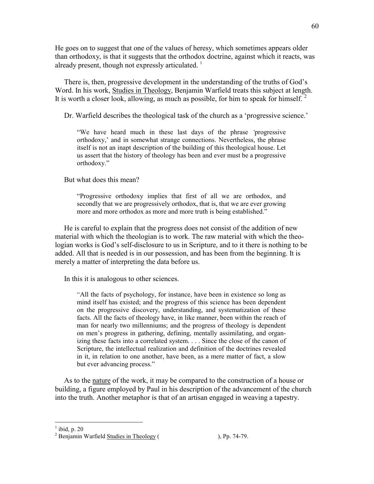He goes on to suggest that one of the values of heresy, which sometimes appears older than orthodoxy, is that it suggests that the orthodox doctrine, against which it reacts, was already present, though not expressly articulated.  $\frac{1}{1}$ 

 There is, then, progressive development in the understanding of the truths of God's Word. In his work, Studies in Theology, Benjamin Warfield treats this subject at length. It is worth a closer look, allowing, as much as possible, for him to speak for himself.  $2^{\circ}$ 

Dr. Warfield describes the theological task of the church as a 'progressive science.'

"We have heard much in these last days of the phrase *'*progressive orthodoxy,' and in somewhat strange connections. Nevertheless, the phrase itself is not an inapt description of the building of this theological house. Let us assert that the history of theology has been and ever must be a progressive orthodoxy."

But what does this mean?

"Progressive orthodoxy implies that first of all we are orthodox, and secondly that we are progressively orthodox, that is, that we are ever growing more and more orthodox as more and more truth is being established."

 He is careful to explain that the progress does not consist of the addition of new material with which the theologian is to work. The raw material with which the theologian works is God's self-disclosure to us in Scripture, and to it there is nothing to be added. All that is needed is in our possession, and has been from the beginning. It is merely a matter of interpreting the data before us.

In this it is analogous to other sciences.

"All the facts of psychology, for instance, have been in existence so long as mind itself has existed; and the progress of this science has been dependent on the progressive discovery, understanding, and systematization of these facts. All the facts of theology have, in like manner, been within the reach of man for nearly two millenniums; and the progress of theology is dependent on men's progress in gathering, defining, mentally assimilating, and organizing these facts into a correlated system. . . . Since the close of the canon of Scripture, the intellectual realization and definition of the doctrines revealed in it, in relation to one another, have been, as a mere matter of fact, a slow but ever advancing process."

 As to the nature of the work, it may be compared to the construction of a house or building, a figure employed by Paul in his description of the advancement of the church into the truth. Another metaphor is that of an artisan engaged in weaving a tapestry.

 $\frac{1}{1}$ ibid, p. 20

 $2^2$  Benjamin Warfield Studies in Theology ( ), Pp. 74-79.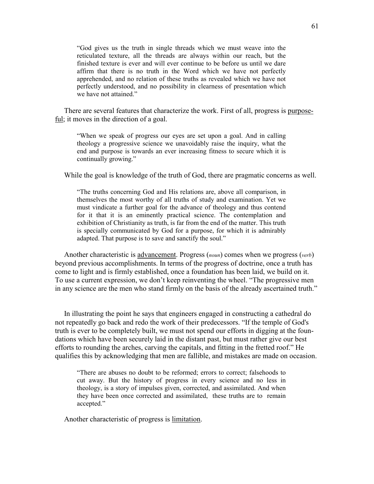"God gives us the truth in single threads which we must weave into the reticulated texture, all the threads are always within our reach, but the finished texture is ever and will ever continue to be before us until we dare affirm that there is no truth in the Word which we have not perfectly apprehended, and no relation of these truths as revealed which we have not perfectly understood, and no possibility in clearness of presentation which we have not attained."

 There are several features that characterize the work. First of all, progress is purposeful; it moves in the direction of a goal.

"When we speak of progress our eyes are set upon a goal. And in calling theology a progressive science we unavoidably raise the inquiry, what the end and purpose is towards an ever increasing fitness to secure which it is continually growing."

While the goal is knowledge of the truth of God, there are pragmatic concerns as well.

"The truths concerning God and His relations are, above all comparison, in themselves the most worthy of all truths of study and examination. Yet we must vindicate a further goal for the advance of theology and thus contend for it that it is an eminently practical science. The contemplation and exhibition of Christianity as truth, is far from the end of the matter. This truth is specially communicated by God for a purpose, for which it is admirably adapted. That purpose is to save and sanctify the soul."

 Another characteristic is advancement. Progress (*noun*) comes when we progress (*verb*) beyond previous accomplishments. In terms of the progress of doctrine, once a truth has come to light and is firmly established, once a foundation has been laid, we build on it. To use a current expression, we don't keep reinventing the wheel. "The progressive men in any science are the men who stand firmly on the basis of the already ascertained truth."

 In illustrating the point he says that engineers engaged in constructing a cathedral do not repeatedly go back and redo the work of their predecessors. "If the temple of God's truth is ever to be completely built, we must not spend our efforts in digging at the foundations which have been securely laid in the distant past, but must rather give our best efforts to rounding the arches, carving the capitals, and fitting in the fretted roof." He qualifies this by acknowledging that men are fallible, and mistakes are made on occasion.

"There are abuses no doubt to be reformed; errors to correct; falsehoods to cut away. But the history of progress in every science and no less in theology, is a story of impulses given, corrected, and assimilated. And when they have been once corrected and assimilated, these truths are to remain accepted."

Another characteristic of progress is limitation.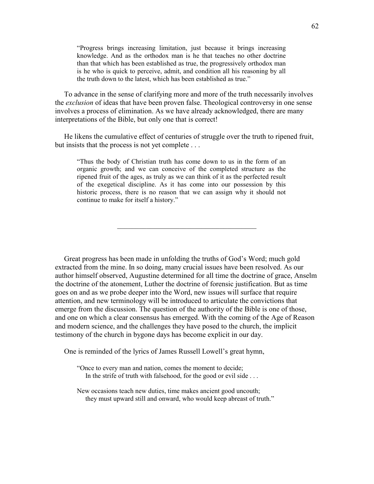"Progress brings increasing limitation, just because it brings increasing knowledge. And as the orthodox man is he that teaches no other doctrine than that which has been established as true, the progressively orthodox man is he who is quick to perceive, admit, and condition all his reasoning by all the truth down to the latest, which has been established as true."

 To advance in the sense of clarifying more and more of the truth necessarily involves the *exclusion* of ideas that have been proven false. Theological controversy in one sense involves a process of elimination. As we have already acknowledged, there are many interpretations of the Bible, but only one that is correct!

 He likens the cumulative effect of centuries of struggle over the truth to ripened fruit, but insists that the process is not yet complete . . .

"Thus the body of Christian truth has come down to us in the form of an organic growth; and we can conceive of the completed structure as the ripened fruit of the ages, as truly as we can think of it as the perfected result of the exegetical discipline. As it has come into our possession by this historic process, there is no reason that we can assign why it should not continue to make for itself a history."

\_\_\_\_\_\_\_\_\_\_\_\_\_\_\_\_\_\_\_\_\_\_\_\_\_\_\_\_\_\_\_\_\_\_\_\_\_\_

 Great progress has been made in unfolding the truths of God's Word; much gold extracted from the mine. In so doing, many crucial issues have been resolved. As our author himself observed, Augustine determined for all time the doctrine of grace, Anselm the doctrine of the atonement, Luther the doctrine of forensic justification. But as time goes on and as we probe deeper into the Word, new issues will surface that require attention, and new terminology will be introduced to articulate the convictions that emerge from the discussion. The question of the authority of the Bible is one of those, and one on which a clear consensus has emerged. With the coming of the Age of Reason and modern science, and the challenges they have posed to the church, the implicit testimony of the church in bygone days has become explicit in our day.

One is reminded of the lyrics of James Russell Lowell's great hymn,

"Once to every man and nation, comes the moment to decide; In the strife of truth with falsehood, for the good or evil side ...

New occasions teach new duties, time makes ancient good uncouth; they must upward still and onward, who would keep abreast of truth."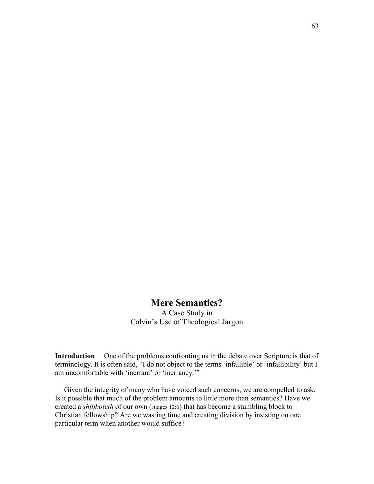## **Mere Semantics?**

A Case Study in Calvin's Use of Theological Jargon

**Introduction** One of the problems confronting us in the debate over Scripture is that of terminology. It is often said, "I do not object to the terms 'infallible' or 'infallibility' but I am uncomfortable with 'inerrant' or 'inerrancy.'"

 Given the integrity of many who have voiced such concerns, we are compelled to ask, Is it possible that much of the problem amounts to little more than semantics? Have we created a *shibboleth* of our own (Judges 12:6) that has become a stumbling block to Christian fellowship? Are we wasting time and creating division by insisting on one particular term when another would suffice?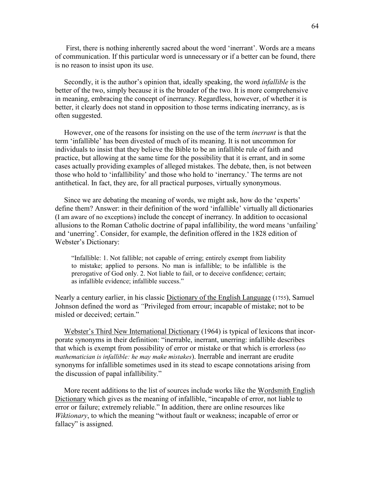First, there is nothing inherently sacred about the word 'inerrant'. Words are a means of communication. If this particular word is unnecessary or if a better can be found, there is no reason to insist upon its use.

 Secondly, it is the author's opinion that, ideally speaking, the word *infallible* is the better of the two, simply because it is the broader of the two. It is more comprehensive in meaning, embracing the concept of inerrancy. Regardless, however, of whether it is better, it clearly does not stand in opposition to those terms indicating inerrancy, as is often suggested.

 However, one of the reasons for insisting on the use of the term *inerrant* is that the term 'infallible' has been divested of much of its meaning. It is not uncommon for individuals to insist that they believe the Bible to be an infallible rule of faith and practice, but allowing at the same time for the possibility that it is errant, and in some cases actually providing examples of alleged mistakes. The debate, then, is not between those who hold to 'infallibility' and those who hold to 'inerrancy.' The terms are not antithetical. In fact, they are, for all practical purposes, virtually synonymous.

 Since we are debating the meaning of words, we might ask, how do the 'experts' define them? Answer: in their definition of the word 'infallible' virtually all dictionaries (I am aware of no exceptions) include the concept of inerrancy. In addition to occasional allusions to the Roman Catholic doctrine of papal infallibility, the word means 'unfailing' and 'unerring'. Consider, for example, the definition offered in the 1828 edition of Webster's Dictionary:

"Infallible: 1. Not fallible; not capable of erring; entirely exempt from liability to mistake; applied to persons. No man is infallible; to be infallible is the prerogative of God only. 2. Not liable to fail, or to deceive confidence; certain; as infallible evidence; infallible success."

Nearly a century earlier, in his classic Dictionary of the English Language (1755), Samuel Johnson defined the word as *"*Privileged from errour; incapable of mistake; not to be misled or deceived; certain."

 Webster's Third New International Dictionary (1964) is typical of lexicons that incorporate synonyms in their definition: "inerrable, inerrant, unerring: infallible describes that which is exempt from possibility of error or mistake or that which is errorless (*no mathematician is infallible: he may make mistakes*). Inerrable and inerrant are erudite synonyms for infallible sometimes used in its stead to escape connotations arising from the discussion of papal infallibility."

 More recent additions to the list of sources include works like the Wordsmith English Dictionary which gives as the meaning of infallible, "incapable of error, not liable to error or failure; extremely reliable." In addition, there are online resources like *Wiktionary*, to which the meaning "without fault or weakness; incapable of error or fallacy" is assigned.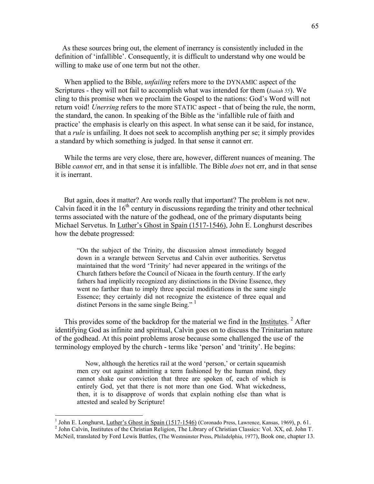As these sources bring out, the element of inerrancy is consistently included in the definition of 'infallible'. Consequently, it is difficult to understand why one would be willing to make use of one term but not the other.

 When applied to the Bible, *unfailing* refers more to the DYNAMIC aspect of the Scriptures - they will not fail to accomplish what was intended for them (*Isaiah 55*). We cling to this promise when we proclaim the Gospel to the nations: God's Word will not return void! *Unerring* refers to the more STATIC aspect - that of being the rule, the norm, the standard, the canon. In speaking of the Bible as the 'infallible rule of faith and practice' the emphasis is clearly on this aspect. In what sense can it be said, for instance, that a *rule* is unfailing. It does not seek to accomplish anything per se; it simply provides a standard by which something is judged. In that sense it cannot err.

 While the terms are very close, there are, however, different nuances of meaning. The Bible *cannot* err, and in that sense it is infallible. The Bible *does* not err, and in that sense it is inerrant.

 But again, does it matter? Are words really that important? The problem is not new. Calvin faced it in the  $16<sup>th</sup>$  century in discussions regarding the trinity and other technical terms associated with the nature of the godhead, one of the primary disputants being Michael Servetus. In Luther's Ghost in Spain (1517-1546), John E. Longhurst describes how the debate progressed:

"On the subject of the Trinity, the discussion almost immediately bogged down in a wrangle between Servetus and Calvin over authorities. Servetus maintained that the word 'Trinity' had never appeared in the writings of the Church fathers before the Council of Nicaea in the fourth century. If the early fathers had implicitly recognized any distinctions in the Divine Essence, they went no farther than to imply three special modifications in the same single Essence; they certainly did not recognize the existence of three equal and distinct Persons in the same single Being." <sup>1</sup>

This provides some of the backdrop for the material we find in the Institutes.<sup>2</sup> After identifying God as infinite and spiritual, Calvin goes on to discuss the Trinitarian nature of the godhead. At this point problems arose because some challenged the use of the terminology employed by the church - terms like 'person' and 'trinity'. He begins:

 Now, although the heretics rail at the word 'person,' or certain squeamish men cry out against admitting a term fashioned by the human mind, they cannot shake our conviction that three are spoken of, each of which is entirely God, yet that there is not more than one God. What wickedness, then, it is to disapprove of words that explain nothing else than what is attested and sealed by Scripture!

<sup>&</sup>lt;sup>1</sup> John E. Longhurst, <u>Luther's Ghost in Spain (1517-1546)</u> (Coronado Press, Lawrence, Kansas, 1969), p. 61. <sup>2</sup> John Calvin, Institutes of the Christian Religion, The Library of Christian Classics: Vol. XX, ed. John T. McNeil, translated by Ford Lewis Battles, (The Westminster Press, Philadelphia, 1977), Book one, chapter 13.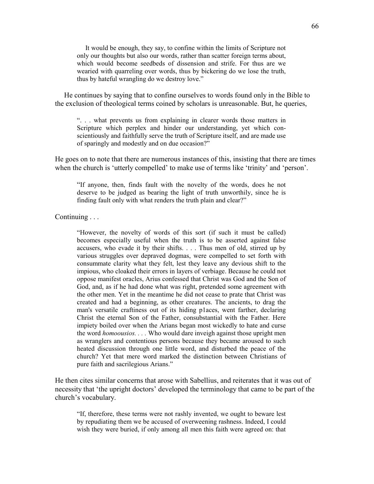It would be enough, they say, to confine within the limits of Scripture not only our thoughts but also our words, rather than scatter foreign terms about, which would become seedbeds of dissension and strife. For thus are we wearied with quarreling over words, thus by bickering do we lose the truth, thus by hateful wrangling do we destroy love."

 He continues by saying that to confine ourselves to words found only in the Bible to the exclusion of theological terms coined by scholars is unreasonable. But, he queries,

". . . what prevents us from explaining in clearer words those matters in Scripture which perplex and hinder our understanding, yet which conscientiously and faithfully serve the truth of Scripture itself, and are made use of sparingly and modestly and on due occasion?"

He goes on to note that there are numerous instances of this, insisting that there are times when the church is 'utterly compelled' to make use of terms like 'trinity' and 'person'.

"If anyone, then, finds fault with the novelty of the words, does he not deserve to be judged as bearing the light of truth unworthily, since he is finding fault only with what renders the truth plain and clear?"

Continuing . . .

"However, the novelty of words of this sort (if such it must be called) becomes especially useful when the truth is to be asserted against false accusers, who evade it by their shifts. . . . Thus men of old, stirred up by various struggles over depraved dogmas, were compelled to set forth with consummate clarity what they felt, lest they leave any devious shift to the impious, who cloaked their errors in layers of verbiage. Because he could not oppose manifest oracles, Arius confessed that Christ was God and the Son of God, and, as if he had done what was right, pretended some agreement with the other men. Yet in the meantime he did not cease to prate that Christ was created and had a beginning, as other creatures. The ancients, to drag the man's versatile craftiness out of its hiding p1aces, went farther, declaring Christ the eternal Son of the Father, consubstantial with the Father. Here impiety boiled over when the Arians began most wickedly to hate and curse the word *homoousios. . . .* Who would dare inveigh against those upright men as wranglers and contentious persons because they became aroused to such heated discussion through one little word, and disturbed the peace of the church? Yet that mere word marked the distinction between Christians of pure faith and sacrilegious Arians."

He then cites similar concerns that arose with Sabellius, and reiterates that it was out of necessity that 'the upright doctors' developed the terminology that came to be part of the church's vocabulary.

"If, therefore, these terms were not rashly invented, we ought to beware lest by repudiating them we be accused of overweening rashness. Indeed, I could wish they were buried, if only among all men this faith were agreed on: that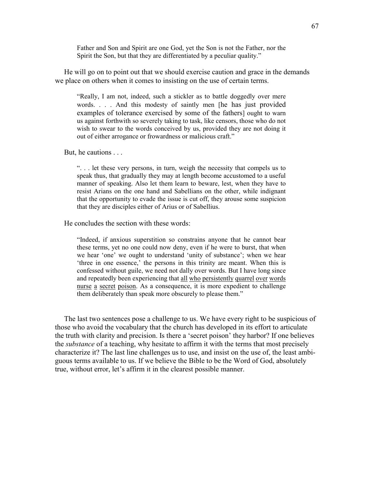Father and Son and Spirit are one God, yet the Son is not the Father, nor the Spirit the Son, but that they are differentiated by a peculiar quality."

 He will go on to point out that we should exercise caution and grace in the demands we place on others when it comes to insisting on the use of certain terms.

"Really, I am not, indeed, such a stickler as to battle doggedly over mere words. . . . And this modesty of saintly men [he has just provided examples of tolerance exercised by some of the fathers] ought to warn us against forthwith so severely taking to task, like censors, those who do not wish to swear to the words conceived by us, provided they are not doing it out of either arrogance or frowardness or malicious craft."

But, he cautions . . .

". . . let these very persons, in turn, weigh the necessity that compels us to speak thus, that gradually they may at length become accustomed to a useful manner of speaking. Also let them learn to beware, lest, when they have to resist Arians on the one hand and Sabellians on the other, while indignant that the opportunity to evade the issue is cut off, they arouse some suspicion that they are disciples either of Arius or of Sabellius.

He concludes the section with these words:

"Indeed, if anxious superstition so constrains anyone that he cannot bear these terms, yet no one could now deny, even if he were to burst, that when we hear 'one' we ought to understand 'unity of substance'; when we hear 'three in one essence,' the persons in this trinity are meant. When this is confessed without guile, we need not dally over words. But I have long since and repeatedly been experiencing that all who persistently quarrel over words nurse a secret poison. As a consequence, it is more expedient to challenge them deliberately than speak more obscurely to please them."

 The last two sentences pose a challenge to us. We have every right to be suspicious of those who avoid the vocabulary that the church has developed in its effort to articulate the truth with clarity and precision. Is there a 'secret poison' they harbor? If one believes the *substance* of a teaching, why hesitate to affirm it with the terms that most precisely characterize it? The last line challenges us to use, and insist on the use of, the least ambiguous terms available to us. If we believe the Bible to be the Word of God, absolutely true, without error, let's affirm it in the clearest possible manner.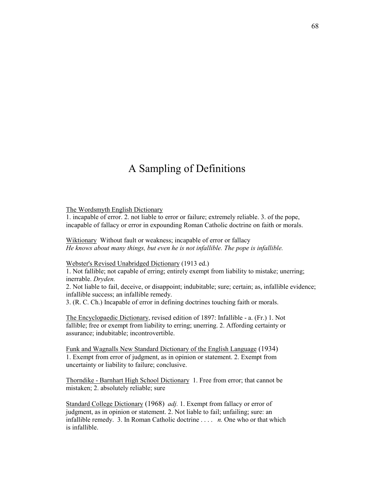# A Sampling of Definitions

The Wordsmyth English Dictionary

1. incapable of error. 2. not liable to error or failure; extremely reliable. 3. of the pope, incapable of fallacy or error in expounding Roman Catholic doctrine on faith or morals.

Wiktionary Without fault or weakness; incapable of error or fallacy *He knows about many things, but even he is not infallible. The pope is infallible.*

Webster's Revised Unabridged Dictionary (1913 ed.)

1. Not fallible; not capable of erring; entirely exempt from liability to mistake; unerring; inerrable. *Dryden.*

2. Not liable to fail, deceive, or disappoint; indubitable; sure; certain; as, infallible evidence; infallible success; an infallible remedy.

3. (R. C. Ch.) Incapable of error in defining doctrines touching faith or morals.

The Encyclopaedic Dictionary, revised edition of 1897: Infallible - a. (Fr.) 1. Not fallible; free or exempt from liability to erring; unerring. 2. Affording certainty or assurance; indubitable; incontrovertible.

Funk and Wagnalls New Standard Dictionary of the English Language (1934) 1. Exempt from error of judgment, as in opinion or statement. 2. Exempt from uncertainty or liability to failure; conclusive.

Thorndike - Barnhart High School Dictionary 1. Free from error; that cannot be mistaken; 2. absolutely reliable; sure

Standard College Dictionary (1968) *adj.* 1. Exempt from fallacy or error of judgment, as in opinion or statement. 2. Not liable to fail; unfailing; sure: an infallible remedy. 3. In Roman Catholic doctrine . . . . *n.* One who or that which is infallible.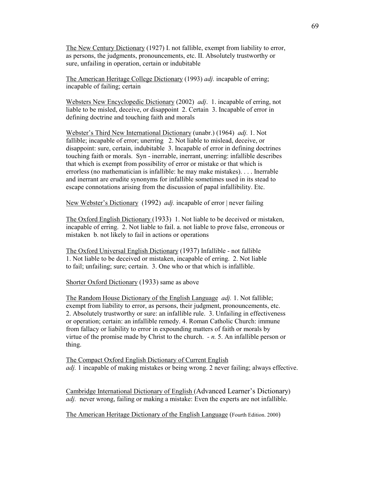The New Century Dictionary (1927) I. not fallible, exempt from liability to error, as persons, the judgments, pronouncements, etc. II. Absolutely trustworthy or sure, unfailing in operation, certain or indubitable

The American Heritage College Dictionary (1993) *adj.* incapable of erring; incapable of failing; certain

Websters New Encyclopedic Dictionary (2002) *adj*. 1. incapable of erring, not liable to be misled, deceive, or disappoint 2. Certain 3. Incapable of error in defining doctrine and touching faith and morals

Webster's Third New International Dictionary (unabr.) (1964) *adj.* 1. Not fallible; incapable of error; unerring 2. Not liable to mislead, deceive, or disappoint: sure, certain, indubitable 3. Incapable of error in defining doctrines touching faith or morals. Syn - inerrable, inerrant, unerring: infallible describes that which is exempt from possibility of error or mistake or that which is errorless (no mathematician is infallible: he may make mistakes). . . . Inerrable and inerrant are erudite synonyms for infallible sometimes used in its stead to escape connotations arising from the discussion of papal infallibility. Etc.

New Webster's Dictionary (1992) *adj*. incapable of error | never failing

The Oxford English Dictionary (1933) 1. Not liable to be deceived or mistaken, incapable of erring. 2. Not liable to fail. a. not liable to prove false, erroneous or mistaken b. not likely to fail in actions or operations

The Oxford Universal English Dictionary (1937) Infallible - not fallible 1. Not liable to be deceived or mistaken, incapable of erring. 2. Not liable to fail; unfailing; sure; certain. 3. One who or that which is infallible.

Shorter Oxford Dictionary (1933) same as above

The Random House Dictionary of the English Language *adj.* 1. Not fallible; exempt from liability to error, as persons, their judgment, pronouncements, etc. 2. Absolutely trustworthy or sure: an infallible rule. 3. Unfailing in effectiveness or operation; certain: an infallible remedy. 4. Roman Catholic Church: immune from fallacy or liability to error in expounding matters of faith or morals by virtue of the promise made by Christ to the church. *- n.* 5. An infallible person or thing.

The Compact Oxford English Dictionary of Current English *adj.* 1 incapable of making mistakes or being wrong. 2 never failing; always effective.

Cambridge International Dictionary of English (Advanced Learner's Dictionary) *adj.* never wrong, failing or making a mistake: Even the experts are not infallible.

The American Heritage Dictionary of the English Language (Fourth Edition. 2000)